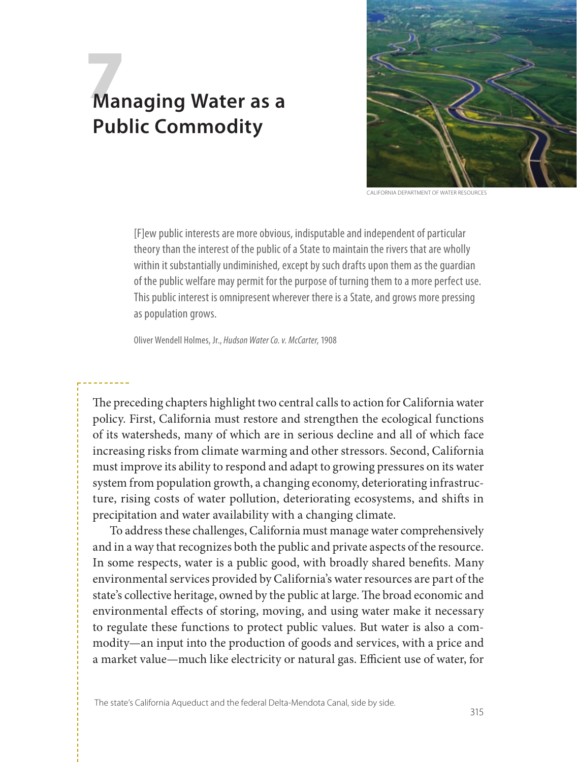# 7 **Managing Water as a Public Commodity**



**CALIFORNIA DEPARTMENT OF WATER RESOURCES** 

[F]ew public interests are more obvious, indisputable and independent of particular theory than the interest of the public of a State to maintain the rivers that are wholly within it substantially undiminished, except by such drafts upon them as the guardian of the public welfare may permit for the purpose of turning them to a more perfect use. This public interest is omnipresent wherever there is a State, and grows more pressing as population grows.

Oliver Wendell Holmes, Jr., *Hudson Water Co. v. McCarter*, 1908

The preceding chapters highlight two central calls to action for California water policy. First, California must restore and strengthen the ecological functions of its watersheds, many of which are in serious decline and all of which face increasing risks from climate warming and other stressors. Second, California must improve its ability to respond and adapt to growing pressures on its water system from population growth, a changing economy, deteriorating infrastructure, rising costs of water pollution, deteriorating ecosystems, and shifts in precipitation and water availability with a changing climate.

To address these challenges, California must manage water comprehensively and in a way that recognizes both the public and private aspects of the resource. In some respects, water is a public good, with broadly shared benefits. Many environmental services provided by California's water resources are part of the state's collective heritage, owned by the public at large. The broad economic and environmental effects of storing, moving, and using water make it necessary to regulate these functions to protect public values. But water is also a commodity—an input into the production of goods and services, with a price and a market value—much like electricity or natural gas. Efficient use of water, for

The state's California Aqueduct and the federal Delta-Mendota Canal, side by side.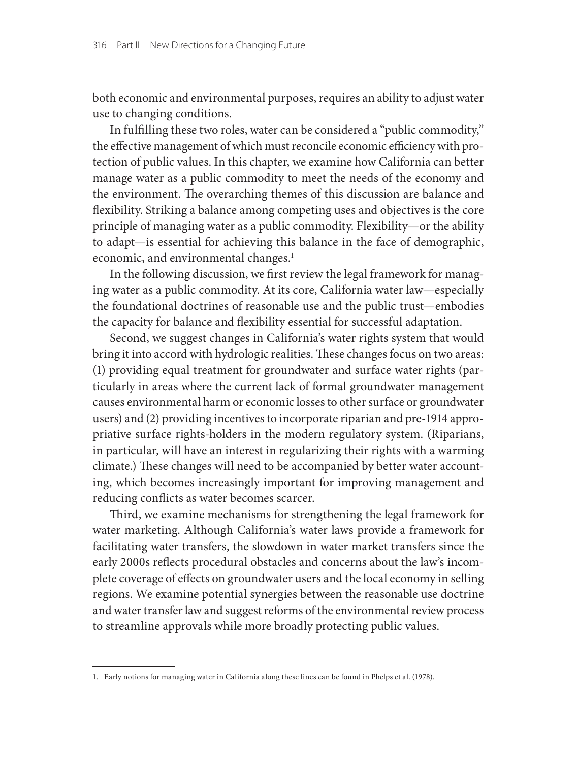both economic and environmental purposes, requires an ability to adjust water use to changing conditions.

In fulfilling these two roles, water can be considered a "public commodity," the effective management of which must reconcile economic efficiency with protection of public values. In this chapter, we examine how California can better manage water as a public commodity to meet the needs of the economy and the environment. The overarching themes of this discussion are balance and flexibility. Striking a balance among competing uses and objectives is the core principle of managing water as a public commodity. Flexibility—or the ability to adapt—is essential for achieving this balance in the face of demographic, economic, and environmental changes.<sup>1</sup>

In the following discussion, we first review the legal framework for managing water as a public commodity. At its core, California water law—especially the foundational doctrines of reasonable use and the public trust—embodies the capacity for balance and flexibility essential for successful adaptation.

Second, we suggest changes in California's water rights system that would bring it into accord with hydrologic realities. These changes focus on two areas: (1) providing equal treatment for groundwater and surface water rights (particularly in areas where the current lack of formal groundwater management causes environmental harm or economic losses to other surface or groundwater users) and (2) providing incentives to incorporate riparian and pre-1914 appropriative surface rights-holders in the modern regulatory system. (Riparians, in particular, will have an interest in regularizing their rights with a warming climate.) These changes will need to be accompanied by better water accounting, which becomes increasingly important for improving management and reducing conflicts as water becomes scarcer.

Third, we examine mechanisms for strengthening the legal framework for water marketing. Although California's water laws provide a framework for facilitating water transfers, the slowdown in water market transfers since the early 2000s reflects procedural obstacles and concerns about the law's incomplete coverage of effects on groundwater users and the local economy in selling regions. We examine potential synergies between the reasonable use doctrine and water transfer law and suggest reforms of the environmental review process to streamline approvals while more broadly protecting public values.

<sup>1.</sup> Early notions for managing water in California along these lines can be found in Phelps et al. (1978).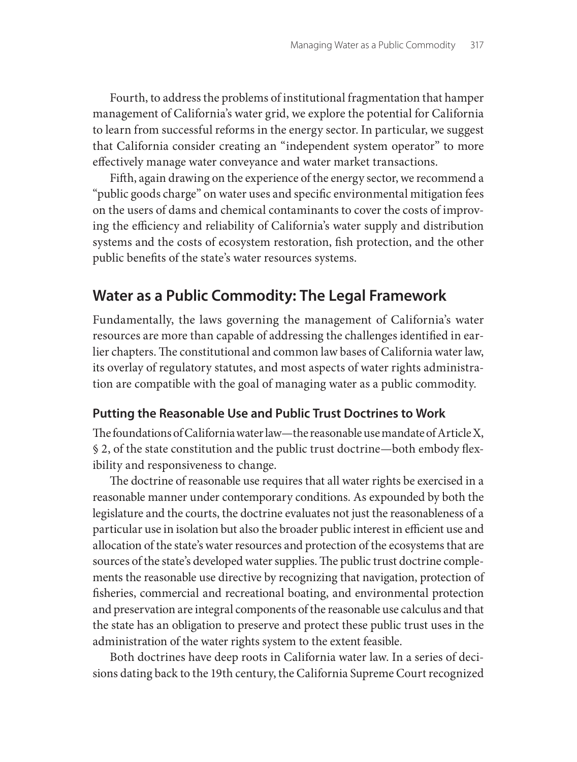Fourth, to address the problems of institutional fragmentation that hamper management of California's water grid, we explore the potential for California to learn from successful reforms in the energy sector. In particular, we suggest that California consider creating an "independent system operator" to more effectively manage water conveyance and water market transactions.

Fifth, again drawing on the experience of the energy sector, we recommend a "public goods charge" on water uses and specific environmental mitigation fees on the users of dams and chemical contaminants to cover the costs of improving the efficiency and reliability of California's water supply and distribution systems and the costs of ecosystem restoration, fish protection, and the other public benefits of the state's water resources systems.

# **Water as a Public Commodity: The Legal Framework**

Fundamentally, the laws governing the management of California's water resources are more than capable of addressing the challenges identified in earlier chapters. The constitutional and common law bases of California water law, its overlay of regulatory statutes, and most aspects of water rights administration are compatible with the goal of managing water as a public commodity.

## **Putting the Reasonable Use and Public Trust Doctrines to Work**

The foundations of California water law—the reasonable use mandate of Article X, § 2, of the state constitution and the public trust doctrine—both embody flexibility and responsiveness to change.

The doctrine of reasonable use requires that all water rights be exercised in a reasonable manner under contemporary conditions. As expounded by both the legislature and the courts, the doctrine evaluates not just the reasonableness of a particular use in isolation but also the broader public interest in efficient use and allocation of the state's water resources and protection of the ecosystems that are sources of the state's developed water supplies. The public trust doctrine complements the reasonable use directive by recognizing that navigation, protection of fisheries, commercial and recreational boating, and environmental protection and preservation are integral components of the reasonable use calculus and that the state has an obligation to preserve and protect these public trust uses in the administration of the water rights system to the extent feasible.

Both doctrines have deep roots in California water law. In a series of decisions dating back to the 19th century, the California Supreme Court recognized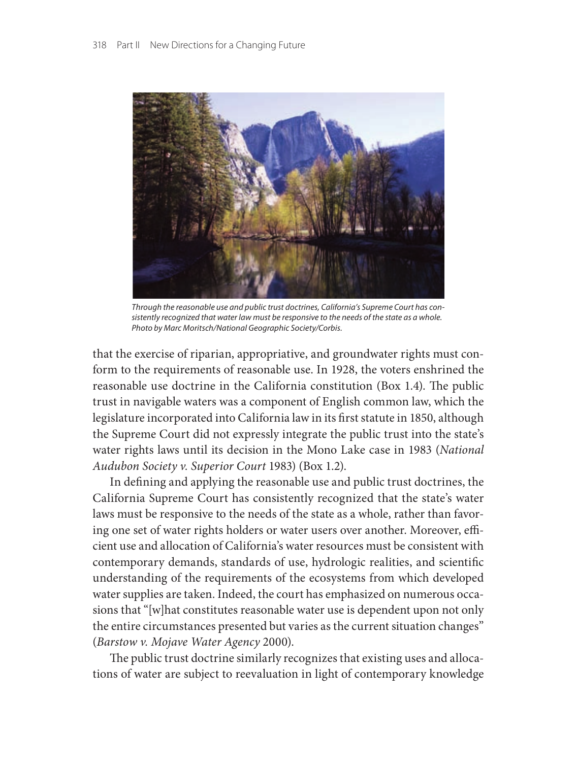

*Through the reasonable use and public trust doctrines, California's Supreme Court has consistently recognized that water law must be responsive to the needs of the state as a whole. Photo by Marc Moritsch/National Geographic Society/Corbis.*

that the exercise of riparian, appropriative, and groundwater rights must conform to the requirements of reasonable use. In 1928, the voters enshrined the reasonable use doctrine in the California constitution (Box 1.4). The public trust in navigable waters was a component of English common law, which the legislature incorporated into California law in its first statute in 1850, although the Supreme Court did not expressly integrate the public trust into the state's water rights laws until its decision in the Mono Lake case in 1983 (*National Audubon Society v. Superior Court* 1983) (Box 1.2).

In defining and applying the reasonable use and public trust doctrines, the California Supreme Court has consistently recognized that the state's water laws must be responsive to the needs of the state as a whole, rather than favoring one set of water rights holders or water users over another. Moreover, efficient use and allocation of California's water resources must be consistent with contemporary demands, standards of use, hydrologic realities, and scientific understanding of the requirements of the ecosystems from which developed water supplies are taken. Indeed, the court has emphasized on numerous occasions that "[w]hat constitutes reasonable water use is dependent upon not only the entire circumstances presented but varies as the current situation changes" (*Barstow v. Mojave Water Agency* 2000).

The public trust doctrine similarly recognizes that existing uses and allocations of water are subject to reevaluation in light of contemporary knowledge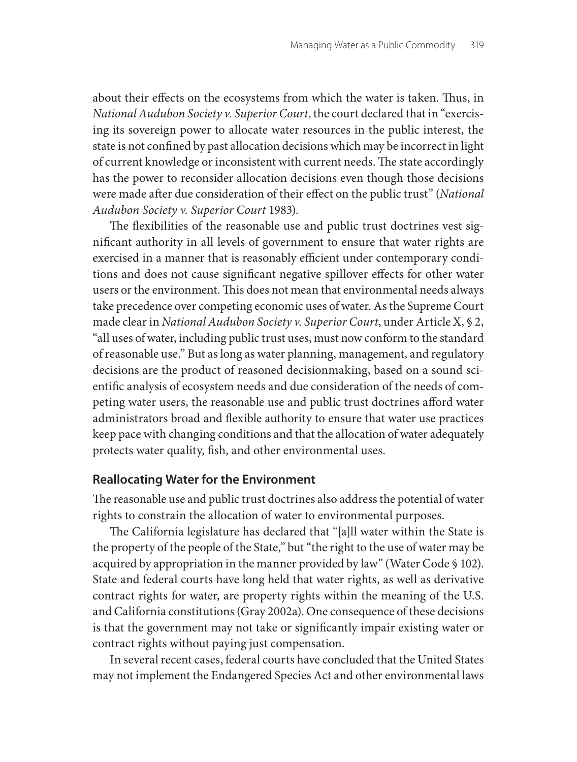about their effects on the ecosystems from which the water is taken. Thus, in *National Audubon Society v. Superior Court*, the court declared that in "exercising its sovereign power to allocate water resources in the public interest, the state is not confined by past allocation decisions which may be incorrect in light of current knowledge or inconsistent with current needs. The state accordingly has the power to reconsider allocation decisions even though those decisions were made after due consideration of their effect on the public trust" (*National Audubon Society v. Superior Court* 1983).

The flexibilities of the reasonable use and public trust doctrines vest significant authority in all levels of government to ensure that water rights are exercised in a manner that is reasonably efficient under contemporary conditions and does not cause significant negative spillover effects for other water users or the environment. This does not mean that environmental needs always take precedence over competing economic uses of water. As the Supreme Court made clear in *National Audubon Society v. Superior Court*, under Article X, § 2, "all uses of water, including public trust uses, must now conform to the standard of reasonable use." But as long as water planning, management, and regulatory decisions are the product of reasoned decisionmaking, based on a sound scientific analysis of ecosystem needs and due consideration of the needs of competing water users, the reasonable use and public trust doctrines afford water administrators broad and flexible authority to ensure that water use practices keep pace with changing conditions and that the allocation of water adequately protects water quality, fish, and other environmental uses.

## **Reallocating Water for the Environment**

The reasonable use and public trust doctrines also address the potential of water rights to constrain the allocation of water to environmental purposes.

The California legislature has declared that "[a]ll water within the State is the property of the people of the State," but "the right to the use of water may be acquired by appropriation in the manner provided by law" (Water Code § 102). State and federal courts have long held that water rights, as well as derivative contract rights for water, are property rights within the meaning of the U.S. and California constitutions (Gray 2002a). One consequence of these decisions is that the government may not take or significantly impair existing water or contract rights without paying just compensation.

In several recent cases, federal courts have concluded that the United States may not implement the Endangered Species Act and other environmental laws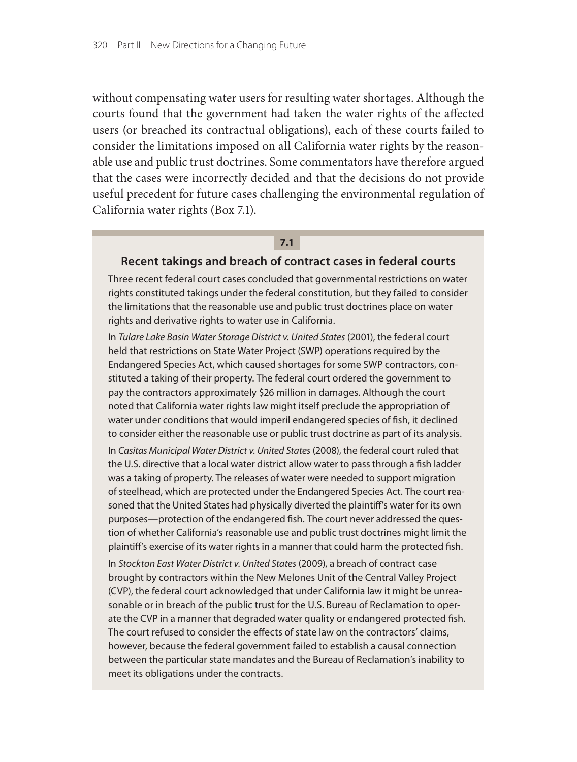without compensating water users for resulting water shortages. Although the courts found that the government had taken the water rights of the affected users (or breached its contractual obligations), each of these courts failed to consider the limitations imposed on all California water rights by the reasonable use and public trust doctrines. Some commentators have therefore argued that the cases were incorrectly decided and that the decisions do not provide useful precedent for future cases challenging the environmental regulation of California water rights (Box 7.1).

#### **7.1**

#### **Recent takings and breach of contract cases in federal courts**

Three recent federal court cases concluded that governmental restrictions on water rights constituted takings under the federal constitution, but they failed to consider the limitations that the reasonable use and public trust doctrines place on water rights and derivative rights to water use in California.

In *Tulare Lake Basin Water Storage District v. United States* (2001), the federal court held that restrictions on State Water Project (SWP) operations required by the Endangered Species Act, which caused shortages for some SWP contractors, constituted a taking of their property. The federal court ordered the government to pay the contractors approximately \$26 million in damages. Although the court noted that California water rights law might itself preclude the appropriation of water under conditions that would imperil endangered species of fish, it declined to consider either the reasonable use or public trust doctrine as part of its analysis.

In *Casitas Municipal Water District v. United States* (2008), the federal court ruled that the U.S. directive that a local water district allow water to pass through a fish ladder was a taking of property. The releases of water were needed to support migration of steelhead, which are protected under the Endangered Species Act. The court reasoned that the United States had physically diverted the plaintiff's water for its own purposes—protection of the endangered fish. The court never addressed the question of whether California's reasonable use and public trust doctrines might limit the plaintiff's exercise of its water rights in a manner that could harm the protected fish.

In *Stockton East Water District v. United States* (2009), a breach of contract case brought by contractors within the New Melones Unit of the Central Valley Project (CVP), the federal court acknowledged that under California law it might be unreasonable or in breach of the public trust for the U.S. Bureau of Reclamation to operate the CVP in a manner that degraded water quality or endangered protected fish. The court refused to consider the effects of state law on the contractors' claims, however, because the federal government failed to establish a causal connection between the particular state mandates and the Bureau of Reclamation's inability to meet its obligations under the contracts.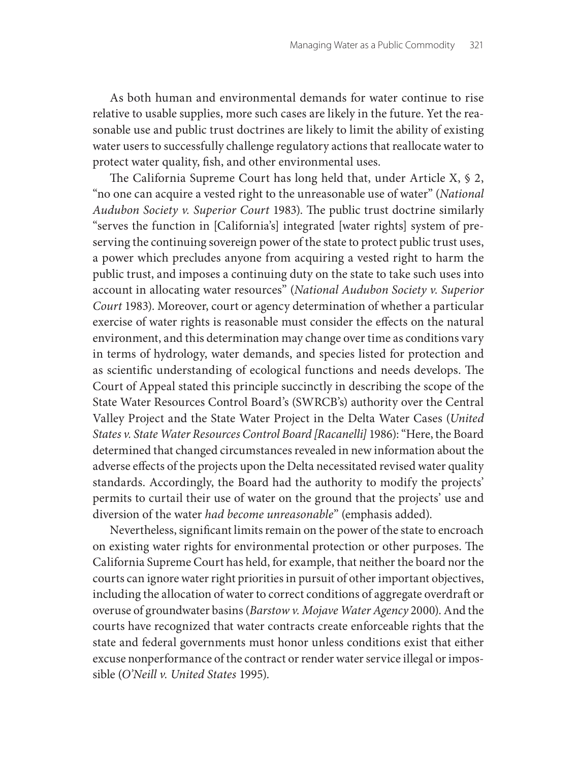As both human and environmental demands for water continue to rise relative to usable supplies, more such cases are likely in the future. Yet the reasonable use and public trust doctrines are likely to limit the ability of existing water users to successfully challenge regulatory actions that reallocate water to protect water quality, fish, and other environmental uses.

The California Supreme Court has long held that, under Article X, § 2, "no one can acquire a vested right to the unreasonable use of water" (*National Audubon Society v. Superior Court* 1983). The public trust doctrine similarly "serves the function in [California's] integrated [water rights] system of preserving the continuing sovereign power of the state to protect public trust uses, a power which precludes anyone from acquiring a vested right to harm the public trust, and imposes a continuing duty on the state to take such uses into account in allocating water resources" (*National Audubon Society v. Superior Court* 1983). Moreover, court or agency determination of whether a particular exercise of water rights is reasonable must consider the effects on the natural environment, and this determination may change over time as conditions vary in terms of hydrology, water demands, and species listed for protection and as scientific understanding of ecological functions and needs develops. The Court of Appeal stated this principle succinctly in describing the scope of the State Water Resources Control Board's (SWRCB's) authority over the Central Valley Project and the State Water Project in the Delta Water Cases (*United States v. State Water Resources Control Board [Racanelli]* 1986): "Here, the Board determined that changed circumstances revealed in new information about the adverse effects of the projects upon the Delta necessitated revised water quality standards. Accordingly, the Board had the authority to modify the projects' permits to curtail their use of water on the ground that the projects' use and diversion of the water *had become unreasonable*" (emphasis added).

Nevertheless, significant limits remain on the power of the state to encroach on existing water rights for environmental protection or other purposes. The California Supreme Court has held, for example, that neither the board nor the courts can ignore water right priorities in pursuit of other important objectives, including the allocation of water to correct conditions of aggregate overdraft or overuse of groundwater basins (*Barstow v. Mojave Water Agency* 2000). And the courts have recognized that water contracts create enforceable rights that the state and federal governments must honor unless conditions exist that either excuse nonperformance of the contract or render water service illegal or impossible (*O'Neill v. United States* 1995).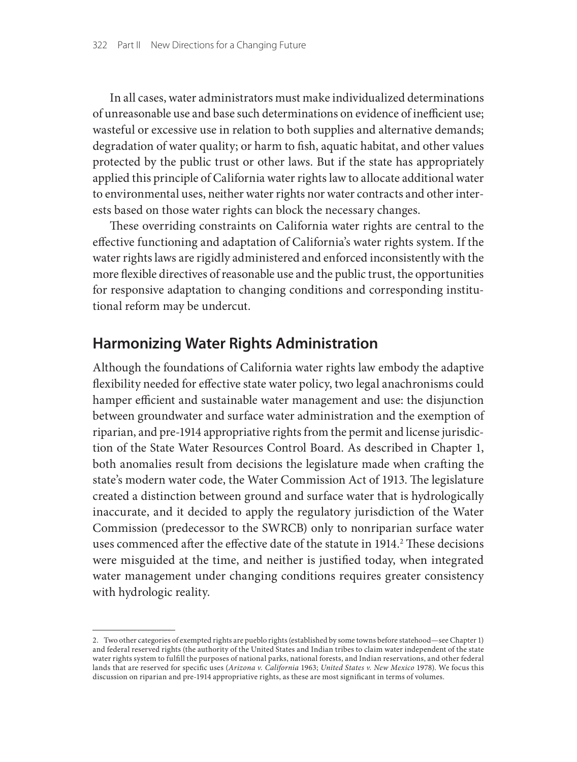In all cases, water administrators must make individualized determinations of unreasonable use and base such determinations on evidence of inefficient use; wasteful or excessive use in relation to both supplies and alternative demands; degradation of water quality; or harm to fish, aquatic habitat, and other values protected by the public trust or other laws. But if the state has appropriately applied this principle of California water rights law to allocate additional water to environmental uses, neither water rights nor water contracts and other interests based on those water rights can block the necessary changes.

These overriding constraints on California water rights are central to the effective functioning and adaptation of California's water rights system. If the water rights laws are rigidly administered and enforced inconsistently with the more flexible directives of reasonable use and the public trust, the opportunities for responsive adaptation to changing conditions and corresponding institutional reform may be undercut.

## **Harmonizing Water Rights Administration**

Although the foundations of California water rights law embody the adaptive flexibility needed for effective state water policy, two legal anachronisms could hamper efficient and sustainable water management and use: the disjunction between groundwater and surface water administration and the exemption of riparian, and pre-1914 appropriative rights from the permit and license jurisdiction of the State Water Resources Control Board. As described in Chapter 1, both anomalies result from decisions the legislature made when crafting the state's modern water code, the Water Commission Act of 1913. The legislature created a distinction between ground and surface water that is hydrologically inaccurate, and it decided to apply the regulatory jurisdiction of the Water Commission (predecessor to the SWRCB) only to nonriparian surface water uses commenced after the effective date of the statute in  $1914.^2$  These decisions were misguided at the time, and neither is justified today, when integrated water management under changing conditions requires greater consistency with hydrologic reality.

<sup>2.</sup> Two other categories of exempted rights are pueblo rights (established by some towns before statehood—see Chapter 1) and federal reserved rights (the authority of the United States and Indian tribes to claim water independent of the state water rights system to fulfill the purposes of national parks, national forests, and Indian reservations, and other federal lands that are reserved for specific uses (*Arizona v. California* 1963; *United States v. New Mexico* 1978). We focus this discussion on riparian and pre-1914 appropriative rights, as these are most significant in terms of volumes.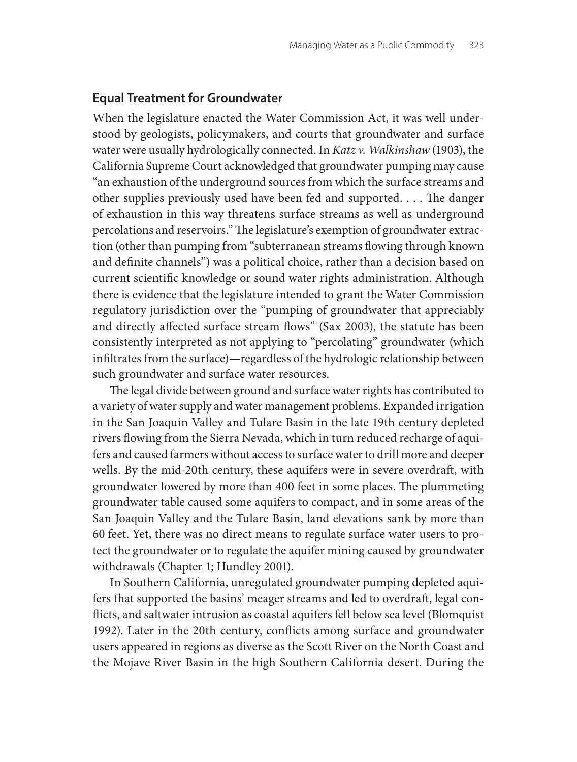#### **Equal Treatment for Groundwater**

When the legislature enacted the Water Commission Act, it was well understood by geologists, policymakers, and courts that groundwater and surface water were usually hydrologically connected. In *Katz v. Walkinshaw* (1903), the California Supreme Court acknowledged that groundwater pumping may cause "an exhaustion of the underground sources from which the surface streams and other supplies previously used have been fed and supported. . . . The danger of exhaustion in this way threatens surface streams as well as underground percolations and reservoirs." The legislature's exemption of groundwater extraction (other than pumping from "subterranean streams flowing through known and definite channels") was a political choice, rather than a decision based on current scientific knowledge or sound water rights administration. Although there is evidence that the legislature intended to grant the Water Commission regulatory jurisdiction over the "pumping of groundwater that appreciably and directly affected surface stream flows" (Sax 2003), the statute has been consistently interpreted as not applying to "percolating" groundwater (which infiltrates from the surface)—regardless of the hydrologic relationship between such groundwater and surface water resources.

The legal divide between ground and surface water rights has contributed to a variety of water supply and water management problems. Expanded irrigation in the San Joaquin Valley and Tulare Basin in the late 19th century depleted rivers flowing from the Sierra Nevada, which in turn reduced recharge of aquifers and caused farmers without access to surface water to drill more and deeper wells. By the mid-20th century, these aquifers were in severe overdraft, with groundwater lowered by more than 400 feet in some places. The plummeting groundwater table caused some aquifers to compact, and in some areas of the San Joaquin Valley and the Tulare Basin, land elevations sank by more than 60 feet. Yet, there was no direct means to regulate surface water users to protect the groundwater or to regulate the aquifer mining caused by groundwater withdrawals (Chapter 1; Hundley 2001).

In Southern California, unregulated groundwater pumping depleted aquifers that supported the basins' meager streams and led to overdraft, legal conflicts, and saltwater intrusion as coastal aquifers fell below sea level (Blomquist 1992). Later in the 20th century, conflicts among surface and groundwater users appeared in regions as diverse as the Scott River on the North Coast and the Mojave River Basin in the high Southern California desert. During the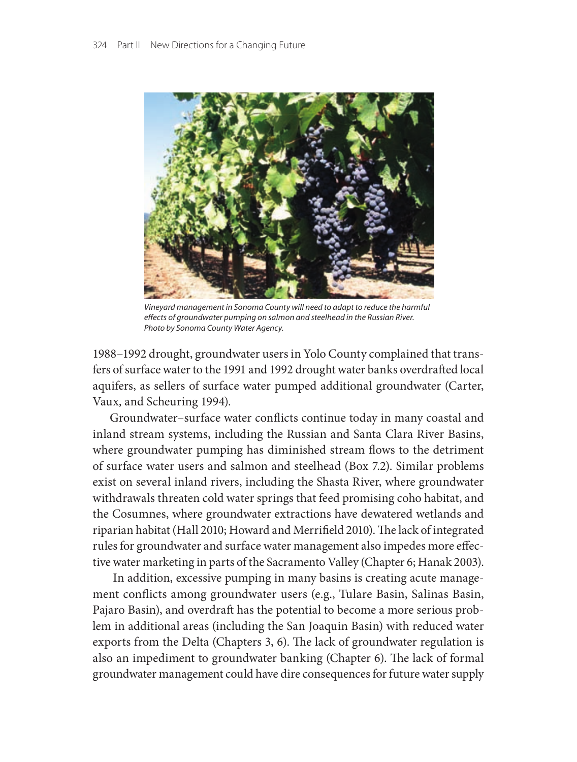

*Vineyard management in Sonoma County will need to adapt to reduce the harmful effects of groundwater pumping on salmon and steelhead in the Russian River. Photo by Sonoma County Water Agency.*

1988–1992 drought, groundwater users in Yolo County complained that transfers of surface water to the 1991 and 1992 drought water banks overdrafted local aquifers, as sellers of surface water pumped additional groundwater (Carter, Vaux, and Scheuring 1994).

Groundwater–surface water conflicts continue today in many coastal and inland stream systems, including the Russian and Santa Clara River Basins, where groundwater pumping has diminished stream flows to the detriment of surface water users and salmon and steelhead (Box 7.2). Similar problems exist on several inland rivers, including the Shasta River, where groundwater withdrawals threaten cold water springs that feed promising coho habitat, and the Cosumnes, where groundwater extractions have dewatered wetlands and riparian habitat (Hall 2010; Howard and Merrifield 2010). The lack of integrated rules for groundwater and surface water management also impedes more effective water marketing in parts of the Sacramento Valley (Chapter 6; Hanak 2003).

 In addition, excessive pumping in many basins is creating acute management conflicts among groundwater users (e.g., Tulare Basin, Salinas Basin, Pajaro Basin), and overdraft has the potential to become a more serious problem in additional areas (including the San Joaquin Basin) with reduced water exports from the Delta (Chapters 3, 6). The lack of groundwater regulation is also an impediment to groundwater banking (Chapter 6). The lack of formal groundwater management could have dire consequences for future water supply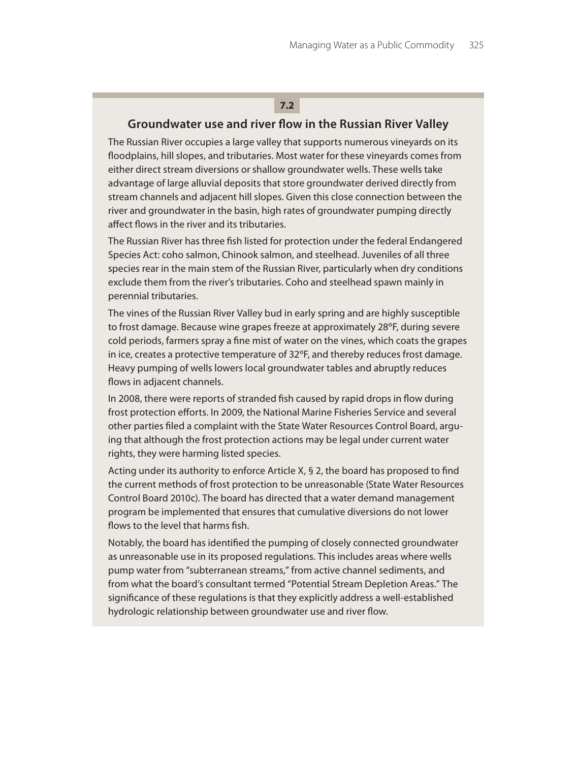## **7.2**

#### **Groundwater use and river flow in the Russian River Valley**

The Russian River occupies a large valley that supports numerous vineyards on its floodplains, hill slopes, and tributaries. Most water for these vineyards comes from either direct stream diversions or shallow groundwater wells. These wells take advantage of large alluvial deposits that store groundwater derived directly from stream channels and adjacent hill slopes. Given this close connection between the river and groundwater in the basin, high rates of groundwater pumping directly affect flows in the river and its tributaries.

The Russian River has three fish listed for protection under the federal Endangered Species Act: coho salmon, Chinook salmon, and steelhead. Juveniles of all three species rear in the main stem of the Russian River, particularly when dry conditions exclude them from the river's tributaries. Coho and steelhead spawn mainly in perennial tributaries.

The vines of the Russian River Valley bud in early spring and are highly susceptible to frost damage. Because wine grapes freeze at approximately 28ºF, during severe cold periods, farmers spray a fine mist of water on the vines, which coats the grapes in ice, creates a protective temperature of 32ºF, and thereby reduces frost damage. Heavy pumping of wells lowers local groundwater tables and abruptly reduces flows in adjacent channels.

In 2008, there were reports of stranded fish caused by rapid drops in flow during frost protection efforts. In 2009, the National Marine Fisheries Service and several other parties filed a complaint with the State Water Resources Control Board, arguing that although the frost protection actions may be legal under current water rights, they were harming listed species.

Acting under its authority to enforce Article X, § 2, the board has proposed to find the current methods of frost protection to be unreasonable (State Water Resources Control Board 2010c). The board has directed that a water demand management program be implemented that ensures that cumulative diversions do not lower flows to the level that harms fish.

Notably, the board has identified the pumping of closely connected groundwater as unreasonable use in its proposed regulations. This includes areas where wells pump water from "subterranean streams," from active channel sediments, and from what the board's consultant termed "Potential Stream Depletion Areas." The significance of these regulations is that they explicitly address a well-established hydrologic relationship between groundwater use and river flow.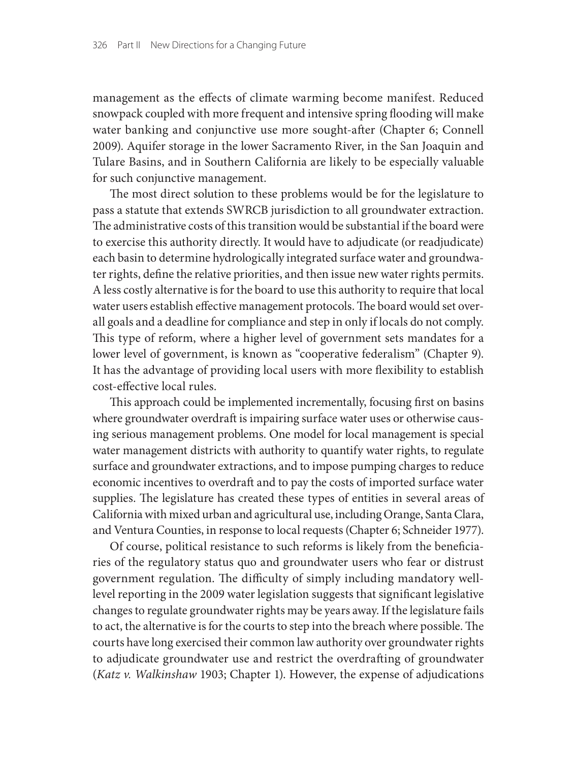management as the effects of climate warming become manifest. Reduced snowpack coupled with more frequent and intensive spring flooding will make water banking and conjunctive use more sought-after (Chapter 6; Connell 2009). Aquifer storage in the lower Sacramento River, in the San Joaquin and Tulare Basins, and in Southern California are likely to be especially valuable for such conjunctive management.

The most direct solution to these problems would be for the legislature to pass a statute that extends SWRCB jurisdiction to all groundwater extraction. The administrative costs of this transition would be substantial if the board were to exercise this authority directly. It would have to adjudicate (or readjudicate) each basin to determine hydrologically integrated surface water and groundwater rights, define the relative priorities, and then issue new water rights permits. A less costly alternative is for the board to use this authority to require that local water users establish effective management protocols. The board would set overall goals and a deadline for compliance and step in only if locals do not comply. This type of reform, where a higher level of government sets mandates for a lower level of government, is known as "cooperative federalism" (Chapter 9). It has the advantage of providing local users with more flexibility to establish cost-effective local rules.

This approach could be implemented incrementally, focusing first on basins where groundwater overdraft is impairing surface water uses or otherwise causing serious management problems. One model for local management is special water management districts with authority to quantify water rights, to regulate surface and groundwater extractions, and to impose pumping charges to reduce economic incentives to overdraft and to pay the costs of imported surface water supplies. The legislature has created these types of entities in several areas of California with mixed urban and agricultural use, including Orange, Santa Clara, and Ventura Counties, in response to local requests (Chapter 6; Schneider 1977).

Of course, political resistance to such reforms is likely from the beneficiaries of the regulatory status quo and groundwater users who fear or distrust government regulation. The difficulty of simply including mandatory welllevel reporting in the 2009 water legislation suggests that significant legislative changes to regulate groundwater rights may be years away. If the legislature fails to act, the alternative is for the courts to step into the breach where possible. The courts have long exercised their common law authority over groundwater rights to adjudicate groundwater use and restrict the overdrafting of groundwater (*Katz v. Walkinshaw* 1903; Chapter 1). However, the expense of adjudications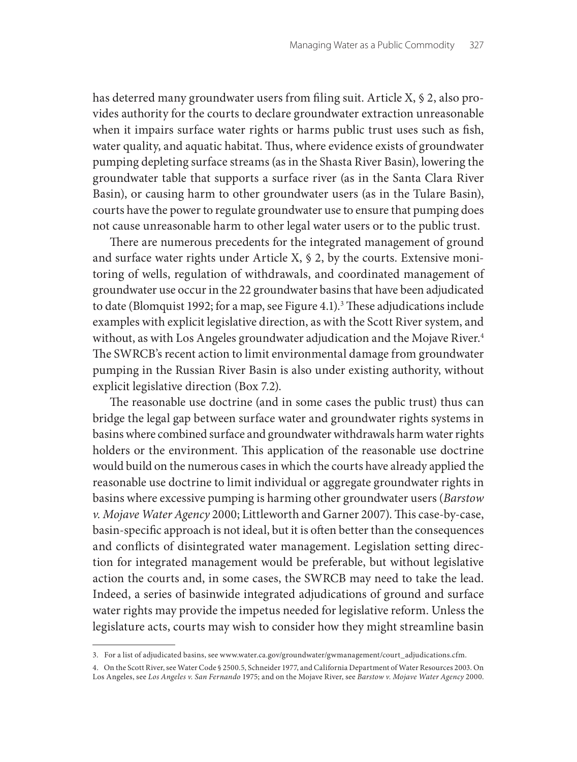has deterred many groundwater users from filing suit. Article X, § 2, also provides authority for the courts to declare groundwater extraction unreasonable when it impairs surface water rights or harms public trust uses such as fish, water quality, and aquatic habitat. Thus, where evidence exists of groundwater pumping depleting surface streams (as in the Shasta River Basin), lowering the groundwater table that supports a surface river (as in the Santa Clara River Basin), or causing harm to other groundwater users (as in the Tulare Basin), courts have the power to regulate groundwater use to ensure that pumping does not cause unreasonable harm to other legal water users or to the public trust.

There are numerous precedents for the integrated management of ground and surface water rights under Article X, § 2, by the courts. Extensive monitoring of wells, regulation of withdrawals, and coordinated management of groundwater use occur in the 22 groundwater basins that have been adjudicated to date (Blomquist 1992; for a map, see Figure 4.1).<sup>3</sup> These adjudications include examples with explicit legislative direction, as with the Scott River system, and without, as with Los Angeles groundwater adjudication and the Mojave River.<sup>4</sup> The SWRCB's recent action to limit environmental damage from groundwater pumping in the Russian River Basin is also under existing authority, without explicit legislative direction (Box 7.2).

The reasonable use doctrine (and in some cases the public trust) thus can bridge the legal gap between surface water and groundwater rights systems in basins where combined surface and groundwater withdrawals harm water rights holders or the environment. This application of the reasonable use doctrine would build on the numerous cases in which the courts have already applied the reasonable use doctrine to limit individual or aggregate groundwater rights in basins where excessive pumping is harming other groundwater users (*Barstow v. Mojave Water Agency* 2000; Littleworth and Garner 2007). This case-by-case, basin-specific approach is not ideal, but it is often better than the consequences and conflicts of disintegrated water management. Legislation setting direction for integrated management would be preferable, but without legislative action the courts and, in some cases, the SWRCB may need to take the lead. Indeed, a series of basinwide integrated adjudications of ground and surface water rights may provide the impetus needed for legislative reform. Unless the legislature acts, courts may wish to consider how they might streamline basin

<sup>3.</sup> For a list of adjudicated basins, see www.water.ca.gov/groundwater/gwmanagement/court\_adjudications.cfm.

<sup>4.</sup> On the Scott River, see Water Code § 2500.5, Schneider 1977, and California Department of Water Resources 2003. On Los Angeles, see *Los Angeles v. San Fernando* 1975; and on the Mojave River, see *Barstow v. Mojave Water Agency* 2000.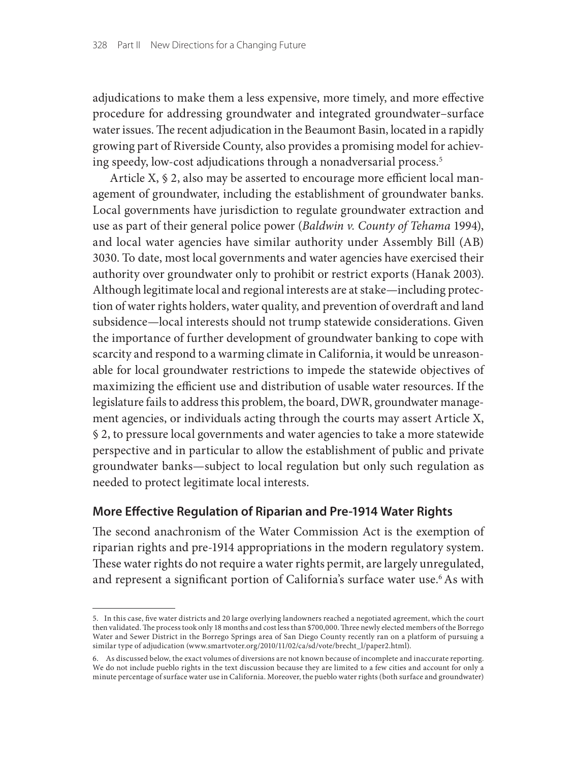adjudications to make them a less expensive, more timely, and more effective procedure for addressing groundwater and integrated groundwater–surface water issues. The recent adjudication in the Beaumont Basin, located in a rapidly growing part of Riverside County, also provides a promising model for achieving speedy, low-cost adjudications through a nonadversarial process.5

Article X, § 2, also may be asserted to encourage more efficient local management of groundwater, including the establishment of groundwater banks. Local governments have jurisdiction to regulate groundwater extraction and use as part of their general police power (*Baldwin v. County of Tehama* 1994), and local water agencies have similar authority under Assembly Bill (AB) 3030. To date, most local governments and water agencies have exercised their authority over groundwater only to prohibit or restrict exports (Hanak 2003). Although legitimate local and regional interests are at stake—including protection of water rights holders, water quality, and prevention of overdraft and land subsidence—local interests should not trump statewide considerations. Given the importance of further development of groundwater banking to cope with scarcity and respond to a warming climate in California, it would be unreasonable for local groundwater restrictions to impede the statewide objectives of maximizing the efficient use and distribution of usable water resources. If the legislature fails to address this problem, the board, DWR, groundwater management agencies, or individuals acting through the courts may assert Article X, § 2, to pressure local governments and water agencies to take a more statewide perspective and in particular to allow the establishment of public and private groundwater banks—subject to local regulation but only such regulation as needed to protect legitimate local interests.

## **More Effective Regulation of Riparian and Pre-1914 Water Rights**

The second anachronism of the Water Commission Act is the exemption of riparian rights and pre-1914 appropriations in the modern regulatory system. These water rights do not require a water rights permit, are largely unregulated, and represent a significant portion of California's surface water use.<sup>6</sup> As with

<sup>5.</sup> In this case, five water districts and 20 large overlying landowners reached a negotiated agreement, which the court then validated. The process took only 18 months and cost less than \$700,000. Three newly elected members of the Borrego Water and Sewer District in the Borrego Springs area of San Diego County recently ran on a platform of pursuing a similar type of adjudication (www.smartvoter.org/2010/11/02/ca/sd/vote/brecht\_l/paper2.html).

<sup>6.</sup> As discussed below, the exact volumes of diversions are not known because of incomplete and inaccurate reporting. We do not include pueblo rights in the text discussion because they are limited to a few cities and account for only a minute percentage of surface water use in California. Moreover, the pueblo water rights (both surface and groundwater)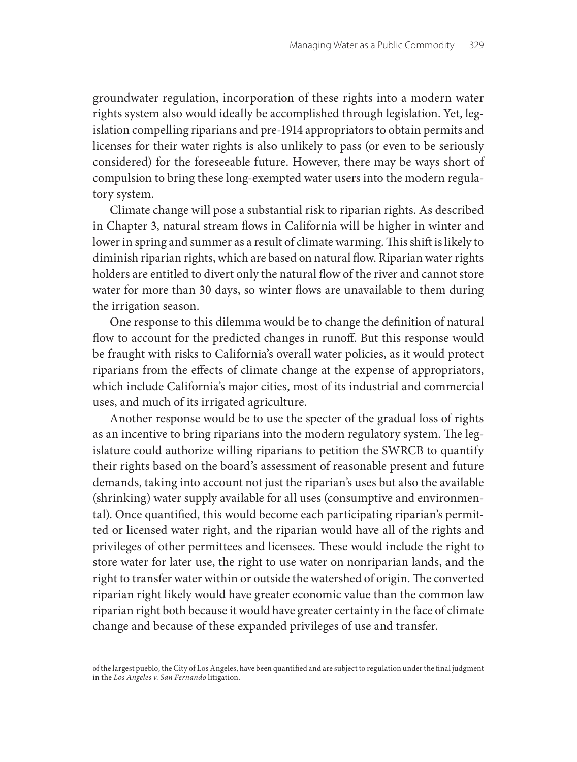groundwater regulation, incorporation of these rights into a modern water rights system also would ideally be accomplished through legislation. Yet, legislation compelling riparians and pre-1914 appropriators to obtain permits and licenses for their water rights is also unlikely to pass (or even to be seriously considered) for the foreseeable future. However, there may be ways short of compulsion to bring these long-exempted water users into the modern regulatory system.

Climate change will pose a substantial risk to riparian rights. As described in Chapter 3, natural stream flows in California will be higher in winter and lower in spring and summer as a result of climate warming. This shift is likely to diminish riparian rights, which are based on natural flow. Riparian water rights holders are entitled to divert only the natural flow of the river and cannot store water for more than 30 days, so winter flows are unavailable to them during the irrigation season.

One response to this dilemma would be to change the definition of natural flow to account for the predicted changes in runoff. But this response would be fraught with risks to California's overall water policies, as it would protect riparians from the effects of climate change at the expense of appropriators, which include California's major cities, most of its industrial and commercial uses, and much of its irrigated agriculture.

Another response would be to use the specter of the gradual loss of rights as an incentive to bring riparians into the modern regulatory system. The legislature could authorize willing riparians to petition the SWRCB to quantify their rights based on the board's assessment of reasonable present and future demands, taking into account not just the riparian's uses but also the available (shrinking) water supply available for all uses (consumptive and environmental). Once quantified, this would become each participating riparian's permitted or licensed water right, and the riparian would have all of the rights and privileges of other permittees and licensees. These would include the right to store water for later use, the right to use water on nonriparian lands, and the right to transfer water within or outside the watershed of origin. The converted riparian right likely would have greater economic value than the common law riparian right both because it would have greater certainty in the face of climate change and because of these expanded privileges of use and transfer.

of the largest pueblo, the City of Los Angeles, have been quantified and are subject to regulation under the final judgment in the *Los Angeles v. San Fernando* litigation.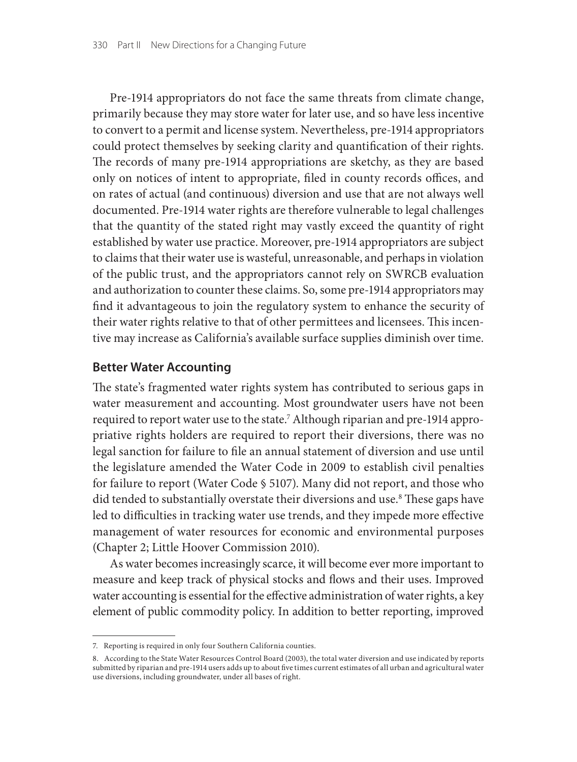Pre-1914 appropriators do not face the same threats from climate change, primarily because they may store water for later use, and so have less incentive to convert to a permit and license system. Nevertheless, pre-1914 appropriators could protect themselves by seeking clarity and quantification of their rights. The records of many pre-1914 appropriations are sketchy, as they are based only on notices of intent to appropriate, filed in county records offices, and on rates of actual (and continuous) diversion and use that are not always well documented. Pre-1914 water rights are therefore vulnerable to legal challenges that the quantity of the stated right may vastly exceed the quantity of right established by water use practice. Moreover, pre-1914 appropriators are subject to claims that their water use is wasteful, unreasonable, and perhaps in violation of the public trust, and the appropriators cannot rely on SWRCB evaluation and authorization to counter these claims. So, some pre-1914 appropriators may find it advantageous to join the regulatory system to enhance the security of their water rights relative to that of other permittees and licensees. This incentive may increase as California's available surface supplies diminish over time.

#### **Better Water Accounting**

The state's fragmented water rights system has contributed to serious gaps in water measurement and accounting. Most groundwater users have not been required to report water use to the state.7 Although riparian and pre-1914 appropriative rights holders are required to report their diversions, there was no legal sanction for failure to file an annual statement of diversion and use until the legislature amended the Water Code in 2009 to establish civil penalties for failure to report (Water Code § 5107). Many did not report, and those who did tended to substantially overstate their diversions and use.8 These gaps have led to difficulties in tracking water use trends, and they impede more effective management of water resources for economic and environmental purposes (Chapter 2; Little Hoover Commission 2010).

As water becomes increasingly scarce, it will become ever more important to measure and keep track of physical stocks and flows and their uses. Improved water accounting is essential for the effective administration of water rights, a key element of public commodity policy. In addition to better reporting, improved

<sup>7.</sup> Reporting is required in only four Southern California counties.

<sup>8.</sup> According to the State Water Resources Control Board (2003), the total water diversion and use indicated by reports submitted by riparian and pre-1914 users adds up to about five times current estimates of all urban and agricultural water use diversions, including groundwater, under all bases of right.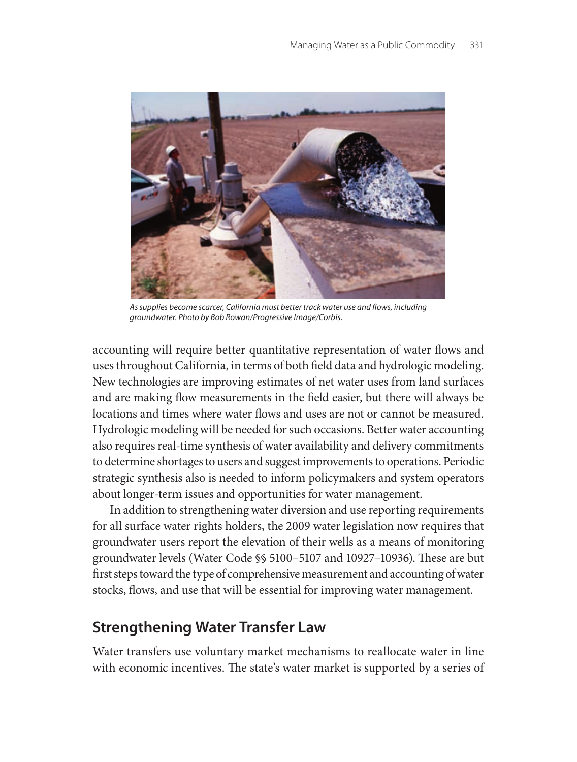

*As supplies become scarcer, California must better track water use and flows, including groundwater. Photo by Bob Rowan/Progressive Image/Corbis.*

accounting will require better quantitative representation of water flows and uses throughout California, in terms of both field data and hydrologic modeling. New technologies are improving estimates of net water uses from land surfaces and are making flow measurements in the field easier, but there will always be locations and times where water flows and uses are not or cannot be measured. Hydrologic modeling will be needed for such occasions. Better water accounting also requires real-time synthesis of water availability and delivery commitments to determine shortages to users and suggest improvements to operations. Periodic strategic synthesis also is needed to inform policymakers and system operators about longer-term issues and opportunities for water management.

In addition to strengthening water diversion and use reporting requirements for all surface water rights holders, the 2009 water legislation now requires that groundwater users report the elevation of their wells as a means of monitoring groundwater levels (Water Code §§ 5100–5107 and 10927–10936). These are but first steps toward the type of comprehensive measurement and accounting of water stocks, flows, and use that will be essential for improving water management.

# **Strengthening Water Transfer Law**

Water transfers use voluntary market mechanisms to reallocate water in line with economic incentives. The state's water market is supported by a series of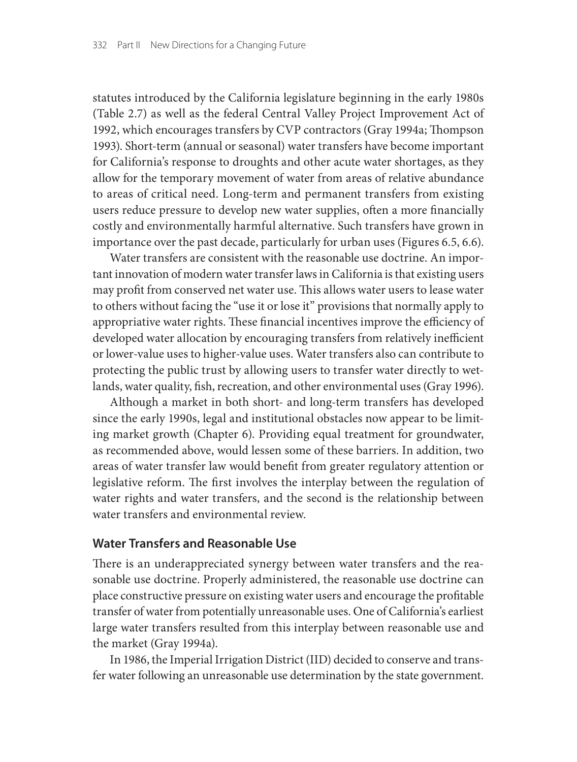statutes introduced by the California legislature beginning in the early 1980s (Table 2.7) as well as the federal Central Valley Project Improvement Act of 1992, which encourages transfers by CVP contractors (Gray 1994a; Thompson 1993). Short-term (annual or seasonal) water transfers have become important for California's response to droughts and other acute water shortages, as they allow for the temporary movement of water from areas of relative abundance to areas of critical need. Long-term and permanent transfers from existing users reduce pressure to develop new water supplies, often a more financially costly and environmentally harmful alternative. Such transfers have grown in importance over the past decade, particularly for urban uses (Figures 6.5, 6.6).

Water transfers are consistent with the reasonable use doctrine. An important innovation of modern water transfer laws in California is that existing users may profit from conserved net water use. This allows water users to lease water to others without facing the "use it or lose it" provisions that normally apply to appropriative water rights. These financial incentives improve the efficiency of developed water allocation by encouraging transfers from relatively inefficient or lower-value uses to higher-value uses. Water transfers also can contribute to protecting the public trust by allowing users to transfer water directly to wetlands, water quality, fish, recreation, and other environmental uses (Gray 1996).

Although a market in both short- and long-term transfers has developed since the early 1990s, legal and institutional obstacles now appear to be limiting market growth (Chapter 6). Providing equal treatment for groundwater, as recommended above, would lessen some of these barriers. In addition, two areas of water transfer law would benefit from greater regulatory attention or legislative reform. The first involves the interplay between the regulation of water rights and water transfers, and the second is the relationship between water transfers and environmental review.

## **Water Transfers and Reasonable Use**

There is an underappreciated synergy between water transfers and the reasonable use doctrine. Properly administered, the reasonable use doctrine can place constructive pressure on existing water users and encourage the profitable transfer of water from potentially unreasonable uses. One of California's earliest large water transfers resulted from this interplay between reasonable use and the market (Gray 1994a).

In 1986, the Imperial Irrigation District (IID) decided to conserve and transfer water following an unreasonable use determination by the state government.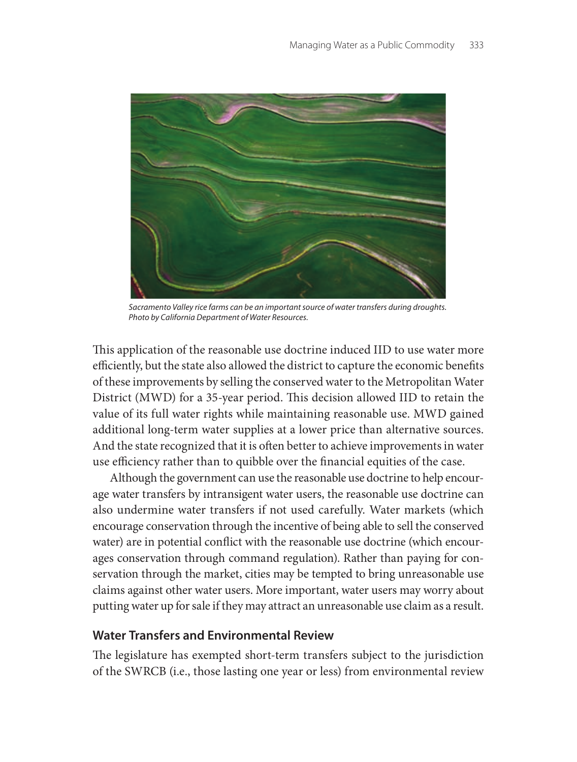

*Sacramento Valley rice farms can be an important source of water transfers during droughts. Photo by California Department of Water Resources.*

This application of the reasonable use doctrine induced IID to use water more efficiently, but the state also allowed the district to capture the economic benefits of these improvements by selling the conserved water to the Metropolitan Water District (MWD) for a 35-year period. This decision allowed IID to retain the value of its full water rights while maintaining reasonable use. MWD gained additional long-term water supplies at a lower price than alternative sources. And the state recognized that it is often better to achieve improvements in water use efficiency rather than to quibble over the financial equities of the case.

Although the government can use the reasonable use doctrine to help encourage water transfers by intransigent water users, the reasonable use doctrine can also undermine water transfers if not used carefully. Water markets (which encourage conservation through the incentive of being able to sell the conserved water) are in potential conflict with the reasonable use doctrine (which encourages conservation through command regulation). Rather than paying for conservation through the market, cities may be tempted to bring unreasonable use claims against other water users. More important, water users may worry about putting water up for sale if they may attract an unreasonable use claim as a result.

## **Water Transfers and Environmental Review**

The legislature has exempted short-term transfers subject to the jurisdiction of the SWRCB (i.e., those lasting one year or less) from environmental review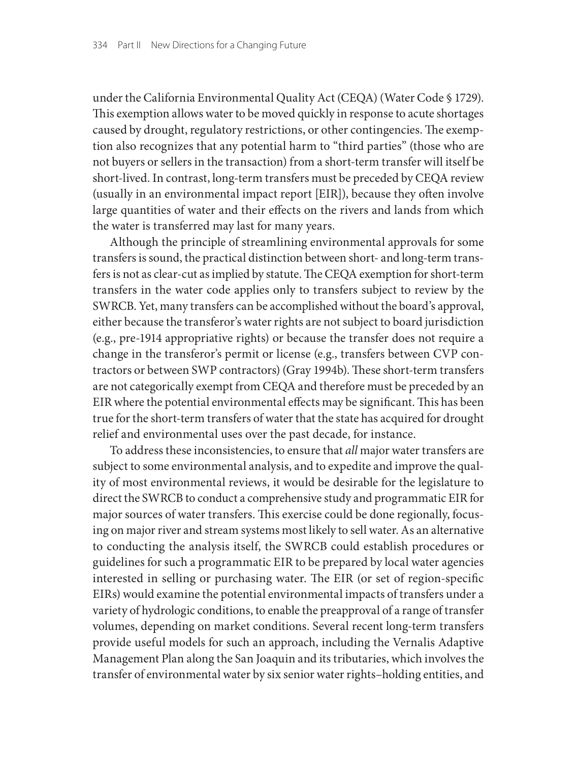under the California Environmental Quality Act (CEQA) (Water Code § 1729). This exemption allows water to be moved quickly in response to acute shortages caused by drought, regulatory restrictions, or other contingencies. The exemption also recognizes that any potential harm to "third parties" (those who are not buyers or sellers in the transaction) from a short-term transfer will itself be short-lived. In contrast, long-term transfers must be preceded by CEQA review (usually in an environmental impact report [EIR]), because they often involve large quantities of water and their effects on the rivers and lands from which the water is transferred may last for many years.

Although the principle of streamlining environmental approvals for some transfers is sound, the practical distinction between short- and long-term transfers is not as clear-cut as implied by statute. The CEQA exemption for short-term transfers in the water code applies only to transfers subject to review by the SWRCB. Yet, many transfers can be accomplished without the board's approval, either because the transferor's water rights are not subject to board jurisdiction (e.g., pre-1914 appropriative rights) or because the transfer does not require a change in the transferor's permit or license (e.g., transfers between CVP contractors or between SWP contractors) (Gray 1994b). These short-term transfers are not categorically exempt from CEQA and therefore must be preceded by an EIR where the potential environmental effects may be significant. This has been true for the short-term transfers of water that the state has acquired for drought relief and environmental uses over the past decade, for instance.

To address these inconsistencies, to ensure that *all* major water transfers are subject to some environmental analysis, and to expedite and improve the quality of most environmental reviews, it would be desirable for the legislature to direct the SWRCB to conduct a comprehensive study and programmatic EIR for major sources of water transfers. This exercise could be done regionally, focusing on major river and stream systems most likely to sell water. As an alternative to conducting the analysis itself, the SWRCB could establish procedures or guidelines for such a programmatic EIR to be prepared by local water agencies interested in selling or purchasing water. The EIR (or set of region-specific EIRs) would examine the potential environmental impacts of transfers under a variety of hydrologic conditions, to enable the preapproval of a range of transfer volumes, depending on market conditions. Several recent long-term transfers provide useful models for such an approach, including the Vernalis Adaptive Management Plan along the San Joaquin and its tributaries, which involves the transfer of environmental water by six senior water rights–holding entities, and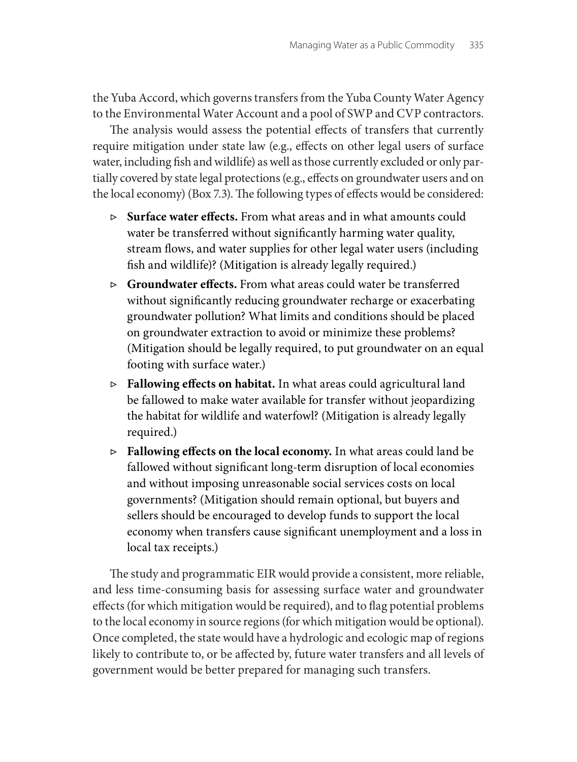the Yuba Accord, which governs transfers from the Yuba County Water Agency to the Environmental Water Account and a pool of SWP and CVP contractors.

The analysis would assess the potential effects of transfers that currently require mitigation under state law (e.g., effects on other legal users of surface water, including fish and wildlife) as well as those currently excluded or only partially covered by state legal protections (e.g., effects on groundwater users and on the local economy) (Box 7.3). The following types of effects would be considered:

- ▷ **Surface water effects.** From what areas and in what amounts could water be transferred without significantly harming water quality, stream flows, and water supplies for other legal water users (including fish and wildlife)? (Mitigation is already legally required.)
- ▷ **Groundwater effects.** From what areas could water be transferred without significantly reducing groundwater recharge or exacerbating groundwater pollution? What limits and conditions should be placed on groundwater extraction to avoid or minimize these problems? (Mitigation should be legally required, to put groundwater on an equal footing with surface water.)
- ▷ **Fallowing effects on habitat.** In what areas could agricultural land be fallowed to make water available for transfer without jeopardizing the habitat for wildlife and waterfowl? (Mitigation is already legally required.)
- ▷ **Fallowing effects on the local economy.** In what areas could land be fallowed without significant long-term disruption of local economies and without imposing unreasonable social services costs on local governments? (Mitigation should remain optional, but buyers and sellers should be encouraged to develop funds to support the local economy when transfers cause significant unemployment and a loss in local tax receipts.)

The study and programmatic EIR would provide a consistent, more reliable, and less time-consuming basis for assessing surface water and groundwater effects (for which mitigation would be required), and to flag potential problems to the local economy in source regions (for which mitigation would be optional). Once completed, the state would have a hydrologic and ecologic map of regions likely to contribute to, or be affected by, future water transfers and all levels of government would be better prepared for managing such transfers.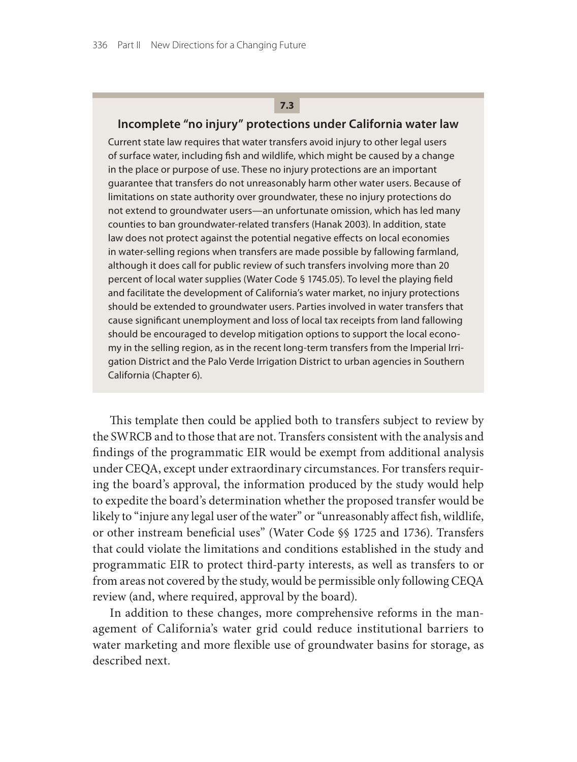## **7.3**

#### **Incomplete "no injury" protections under California water law**

Current state law requires that water transfers avoid injury to other legal users of surface water, including fish and wildlife, which might be caused by a change in the place or purpose of use. These no injury protections are an important guarantee that transfers do not unreasonably harm other water users. Because of limitations on state authority over groundwater, these no injury protections do not extend to groundwater users—an unfortunate omission, which has led many counties to ban groundwater-related transfers (Hanak 2003). In addition, state law does not protect against the potential negative effects on local economies in water-selling regions when transfers are made possible by fallowing farmland, although it does call for public review of such transfers involving more than 20 percent of local water supplies (Water Code § 1745.05). To level the playing field and facilitate the development of California's water market, no injury protections should be extended to groundwater users. Parties involved in water transfers that cause significant unemployment and loss of local tax receipts from land fallowing should be encouraged to develop mitigation options to support the local economy in the selling region, as in the recent long-term transfers from the Imperial Irrigation District and the Palo Verde Irrigation District to urban agencies in Southern California (Chapter 6).

This template then could be applied both to transfers subject to review by the SWRCB and to those that are not. Transfers consistent with the analysis and findings of the programmatic EIR would be exempt from additional analysis under CEQA, except under extraordinary circumstances. For transfers requiring the board's approval, the information produced by the study would help to expedite the board's determination whether the proposed transfer would be likely to "injure any legal user of the water" or "unreasonably affect fish, wildlife, or other instream beneficial uses" (Water Code §§ 1725 and 1736). Transfers that could violate the limitations and conditions established in the study and programmatic EIR to protect third-party interests, as well as transfers to or from areas not covered by the study, would be permissible only following CEQA review (and, where required, approval by the board).

In addition to these changes, more comprehensive reforms in the management of California's water grid could reduce institutional barriers to water marketing and more flexible use of groundwater basins for storage, as described next.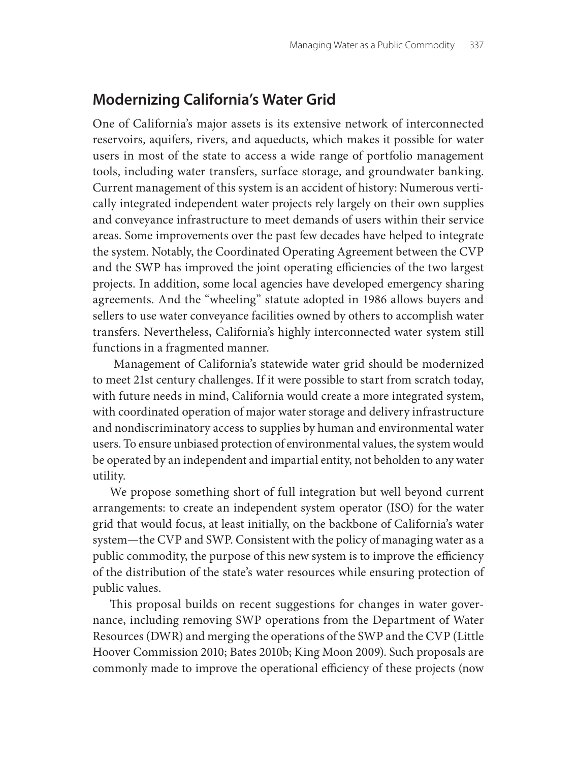## **Modernizing California's Water Grid**

One of California's major assets is its extensive network of interconnected reservoirs, aquifers, rivers, and aqueducts, which makes it possible for water users in most of the state to access a wide range of portfolio management tools, including water transfers, surface storage, and groundwater banking. Current management of this system is an accident of history: Numerous vertically integrated independent water projects rely largely on their own supplies and conveyance infrastructure to meet demands of users within their service areas. Some improvements over the past few decades have helped to integrate the system. Notably, the Coordinated Operating Agreement between the CVP and the SWP has improved the joint operating efficiencies of the two largest projects. In addition, some local agencies have developed emergency sharing agreements. And the "wheeling" statute adopted in 1986 allows buyers and sellers to use water conveyance facilities owned by others to accomplish water transfers. Nevertheless, California's highly interconnected water system still functions in a fragmented manner.

 Management of California's statewide water grid should be modernized to meet 21st century challenges. If it were possible to start from scratch today, with future needs in mind, California would create a more integrated system, with coordinated operation of major water storage and delivery infrastructure and nondiscriminatory access to supplies by human and environmental water users. To ensure unbiased protection of environmental values, the system would be operated by an independent and impartial entity, not beholden to any water utility.

We propose something short of full integration but well beyond current arrangements: to create an independent system operator (ISO) for the water grid that would focus, at least initially, on the backbone of California's water system—the CVP and SWP. Consistent with the policy of managing water as a public commodity, the purpose of this new system is to improve the efficiency of the distribution of the state's water resources while ensuring protection of public values.

This proposal builds on recent suggestions for changes in water governance, including removing SWP operations from the Department of Water Resources (DWR) and merging the operations of the SWP and the CVP (Little Hoover Commission 2010; Bates 2010b; King Moon 2009). Such proposals are commonly made to improve the operational efficiency of these projects (now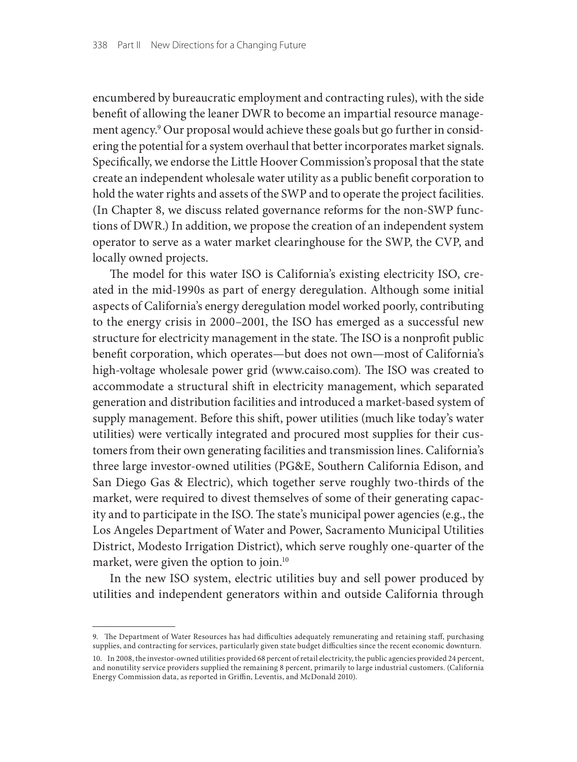encumbered by bureaucratic employment and contracting rules), with the side benefit of allowing the leaner DWR to become an impartial resource management agency.9 Our proposal would achieve these goals but go further in considering the potential for a system overhaul that better incorporates market signals. Specifically, we endorse the Little Hoover Commission's proposal that the state create an independent wholesale water utility as a public benefit corporation to hold the water rights and assets of the SWP and to operate the project facilities. (In Chapter 8, we discuss related governance reforms for the non-SWP functions of DWR.) In addition, we propose the creation of an independent system operator to serve as a water market clearinghouse for the SWP, the CVP, and locally owned projects.

The model for this water ISO is California's existing electricity ISO, created in the mid-1990s as part of energy deregulation. Although some initial aspects of California's energy deregulation model worked poorly, contributing to the energy crisis in 2000–2001, the ISO has emerged as a successful new structure for electricity management in the state. The ISO is a nonprofit public benefit corporation, which operates—but does not own—most of California's high-voltage wholesale power grid (www.caiso.com). The ISO was created to accommodate a structural shift in electricity management, which separated generation and distribution facilities and introduced a market-based system of supply management. Before this shift, power utilities (much like today's water utilities) were vertically integrated and procured most supplies for their customers from their own generating facilities and transmission lines. California's three large investor-owned utilities (PG&E, Southern California Edison, and San Diego Gas & Electric), which together serve roughly two-thirds of the market, were required to divest themselves of some of their generating capacity and to participate in the ISO. The state's municipal power agencies (e.g., the Los Angeles Department of Water and Power, Sacramento Municipal Utilities District, Modesto Irrigation District), which serve roughly one-quarter of the market, were given the option to join.10

In the new ISO system, electric utilities buy and sell power produced by utilities and independent generators within and outside California through

<sup>9.</sup> The Department of Water Resources has had difficulties adequately remunerating and retaining staff, purchasing supplies, and contracting for services, particularly given state budget difficulties since the recent economic downturn.

<sup>10.</sup> In 2008, the investor-owned utilities provided 68 percent of retail electricity, the public agencies provided 24 percent, and nonutility service providers supplied the remaining 8 percent, primarily to large industrial customers. (California Energy Commission data, as reported in Griffin, Leventis, and McDonald 2010).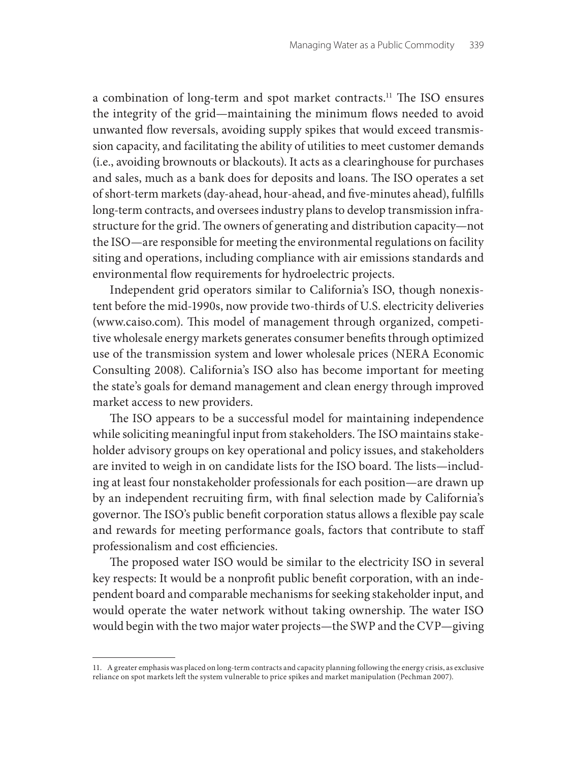a combination of long-term and spot market contracts.11 The ISO ensures the integrity of the grid—maintaining the minimum flows needed to avoid unwanted flow reversals, avoiding supply spikes that would exceed transmission capacity, and facilitating the ability of utilities to meet customer demands (i.e., avoiding brownouts or blackouts). It acts as a clearinghouse for purchases and sales, much as a bank does for deposits and loans. The ISO operates a set of short-term markets (day-ahead, hour-ahead, and five-minutes ahead), fulfills long-term contracts, and oversees industry plans to develop transmission infrastructure for the grid. The owners of generating and distribution capacity—not the ISO—are responsible for meeting the environmental regulations on facility siting and operations, including compliance with air emissions standards and environmental flow requirements for hydroelectric projects.

Independent grid operators similar to California's ISO, though nonexistent before the mid-1990s, now provide two-thirds of U.S. electricity deliveries (www.caiso.com). This model of management through organized, competitive wholesale energy markets generates consumer benefits through optimized use of the transmission system and lower wholesale prices (NERA Economic Consulting 2008). California's ISO also has become important for meeting the state's goals for demand management and clean energy through improved market access to new providers.

The ISO appears to be a successful model for maintaining independence while soliciting meaningful input from stakeholders. The ISO maintains stakeholder advisory groups on key operational and policy issues, and stakeholders are invited to weigh in on candidate lists for the ISO board. The lists—including at least four nonstakeholder professionals for each position—are drawn up by an independent recruiting firm, with final selection made by California's governor. The ISO's public benefit corporation status allows a flexible pay scale and rewards for meeting performance goals, factors that contribute to staff professionalism and cost efficiencies.

The proposed water ISO would be similar to the electricity ISO in several key respects: It would be a nonprofit public benefit corporation, with an independent board and comparable mechanisms for seeking stakeholder input, and would operate the water network without taking ownership. The water ISO would begin with the two major water projects—the SWP and the CVP—giving

<sup>11.</sup> A greater emphasis was placed on long-term contracts and capacity planning following the energy crisis, as exclusive reliance on spot markets left the system vulnerable to price spikes and market manipulation (Pechman 2007).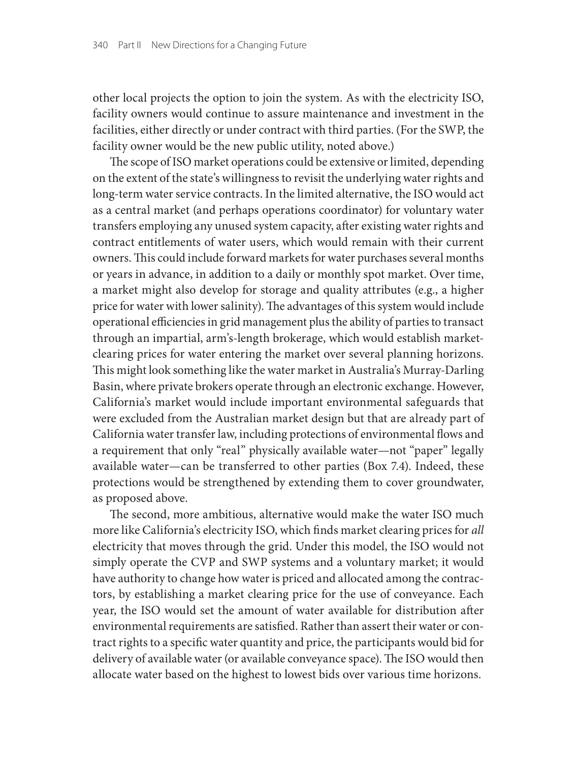other local projects the option to join the system. As with the electricity ISO, facility owners would continue to assure maintenance and investment in the facilities, either directly or under contract with third parties. (For the SWP, the facility owner would be the new public utility, noted above.)

The scope of ISO market operations could be extensive or limited, depending on the extent of the state's willingness to revisit the underlying water rights and long-term water service contracts. In the limited alternative, the ISO would act as a central market (and perhaps operations coordinator) for voluntary water transfers employing any unused system capacity, after existing water rights and contract entitlements of water users, which would remain with their current owners. This could include forward markets for water purchases several months or years in advance, in addition to a daily or monthly spot market. Over time, a market might also develop for storage and quality attributes (e.g., a higher price for water with lower salinity). The advantages of this system would include operational efficiencies in grid management plus the ability of parties to transact through an impartial, arm's-length brokerage, which would establish marketclearing prices for water entering the market over several planning horizons. This might look something like the water market in Australia's Murray-Darling Basin, where private brokers operate through an electronic exchange. However, California's market would include important environmental safeguards that were excluded from the Australian market design but that are already part of California water transfer law, including protections of environmental flows and a requirement that only "real" physically available water-not "paper" legally available water—can be transferred to other parties (Box 7.4). Indeed, these protections would be strengthened by extending them to cover groundwater, as proposed above.

The second, more ambitious, alternative would make the water ISO much more like California's electricity ISO, which finds market clearing prices for *all* electricity that moves through the grid. Under this model, the ISO would not simply operate the CVP and SWP systems and a voluntary market; it would have authority to change how water is priced and allocated among the contractors, by establishing a market clearing price for the use of conveyance. Each year, the ISO would set the amount of water available for distribution after environmental requirements are satisfied. Rather than assert their water or contract rights to a specific water quantity and price, the participants would bid for delivery of available water (or available conveyance space). The ISO would then allocate water based on the highest to lowest bids over various time horizons.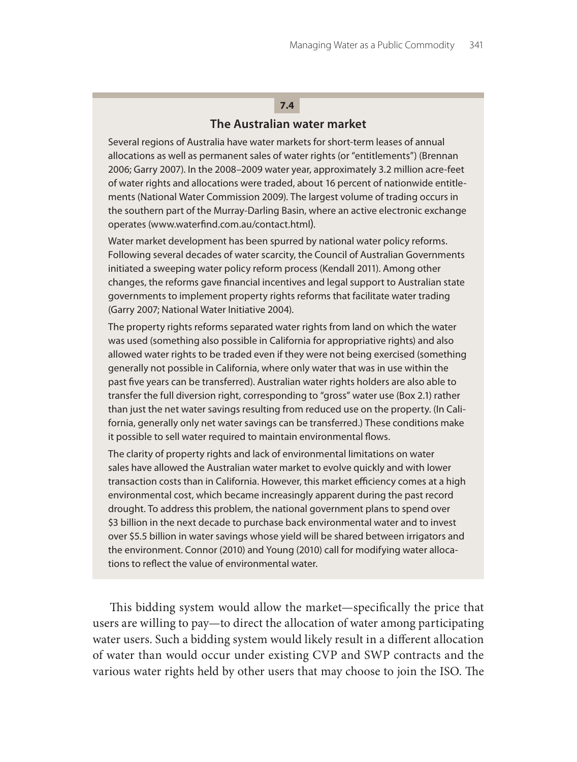## **The Australian water market 7.4**

Several regions of Australia have water markets for short-term leases of annual allocations as well as permanent sales of water rights (or "entitlements") (Brennan 2006; Garry 2007). In the 2008–2009 water year, approximately 3.2 million acre-feet of water rights and allocations were traded, about 16 percent of nationwide entitlements (National Water Commission 2009). The largest volume of trading occurs in the southern part of the Murray-Darling Basin, where an active electronic exchange operates (www.waterfind.com.au/contact.html).

Water market development has been spurred by national water policy reforms. Following several decades of water scarcity, the Council of Australian Governments initiated a sweeping water policy reform process (Kendall 2011). Among other changes, the reforms gave financial incentives and legal support to Australian state governments to implement property rights reforms that facilitate water trading (Garry 2007; National Water Initiative 2004).

The property rights reforms separated water rights from land on which the water was used (something also possible in California for appropriative rights) and also allowed water rights to be traded even if they were not being exercised (something generally not possible in California, where only water that was in use within the past five years can be transferred). Australian water rights holders are also able to transfer the full diversion right, corresponding to "gross" water use (Box 2.1) rather than just the net water savings resulting from reduced use on the property. (In California, generally only net water savings can be transferred.) These conditions make it possible to sell water required to maintain environmental flows.

The clarity of property rights and lack of environmental limitations on water sales have allowed the Australian water market to evolve quickly and with lower transaction costs than in California. However, this market efficiency comes at a high environmental cost, which became increasingly apparent during the past record drought. To address this problem, the national government plans to spend over \$3 billion in the next decade to purchase back environmental water and to invest over \$5.5 billion in water savings whose yield will be shared between irrigators and the environment. Connor (2010) and Young (2010) call for modifying water allocations to reflect the value of environmental water.

This bidding system would allow the market—specifically the price that users are willing to pay—to direct the allocation of water among participating water users. Such a bidding system would likely result in a different allocation of water than would occur under existing CVP and SWP contracts and the various water rights held by other users that may choose to join the ISO. The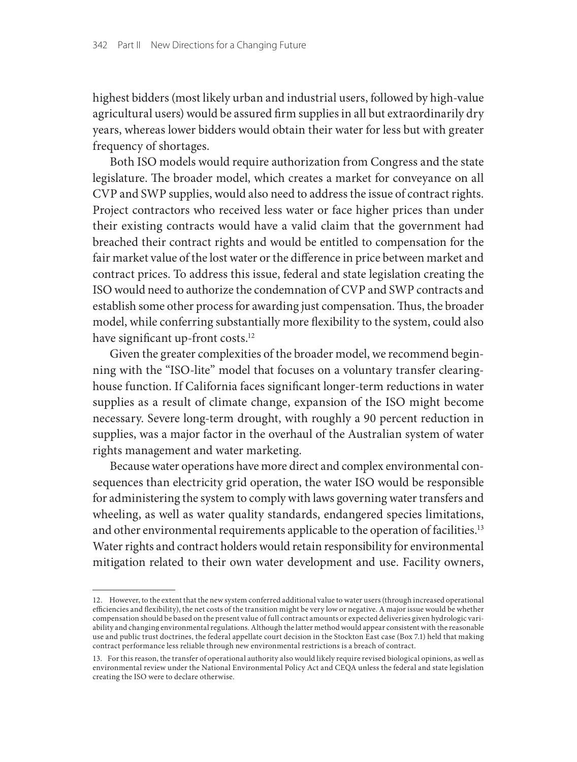highest bidders (most likely urban and industrial users, followed by high-value agricultural users) would be assured firm supplies in all but extraordinarily dry years, whereas lower bidders would obtain their water for less but with greater frequency of shortages.

Both ISO models would require authorization from Congress and the state legislature. The broader model, which creates a market for conveyance on all CVP and SWP supplies, would also need to address the issue of contract rights. Project contractors who received less water or face higher prices than under their existing contracts would have a valid claim that the government had breached their contract rights and would be entitled to compensation for the fair market value of the lost water or the difference in price between market and contract prices. To address this issue, federal and state legislation creating the ISO would need to authorize the condemnation of CVP and SWP contracts and establish some other process for awarding just compensation. Thus, the broader model, while conferring substantially more flexibility to the system, could also have significant up-front costs.<sup>12</sup>

Given the greater complexities of the broader model, we recommend beginning with the "ISO-lite" model that focuses on a voluntary transfer clearinghouse function. If California faces significant longer-term reductions in water supplies as a result of climate change, expansion of the ISO might become necessary. Severe long-term drought, with roughly a 90 percent reduction in supplies, was a major factor in the overhaul of the Australian system of water rights management and water marketing.

Because water operations have more direct and complex environmental consequences than electricity grid operation, the water ISO would be responsible for administering the system to comply with laws governing water transfers and wheeling, as well as water quality standards, endangered species limitations, and other environmental requirements applicable to the operation of facilities.<sup>13</sup> Water rights and contract holders would retain responsibility for environmental mitigation related to their own water development and use. Facility owners,

<sup>12.</sup> However, to the extent that the new system conferred additional value to water users (through increased operational efficiencies and flexibility), the net costs of the transition might be very low or negative. A major issue would be whether compensation should be based on the present value of full contract amounts or expected deliveries given hydrologic variability and changing environmental regulations. Although the latter method would appear consistent with the reasonable<br>use and public trust doctrines, the federal appellate court decision in the Stockton East case (Box 7.1 contract performance less reliable through new environmental restrictions is a breach of contract.

<sup>13.</sup> For this reason, the transfer of operational authority also would likely require revised biological opinions, as well as environmental review under the National Environmental Policy Act and CEQA unless the federal and state legislation creating the ISO were to declare otherwise.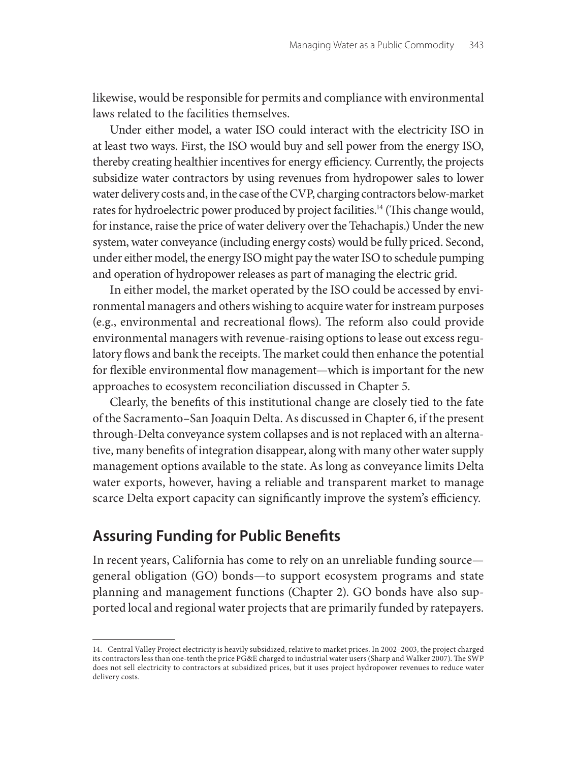likewise, would be responsible for permits and compliance with environmental laws related to the facilities themselves.

Under either model, a water ISO could interact with the electricity ISO in at least two ways. First, the ISO would buy and sell power from the energy ISO, thereby creating healthier incentives for energy efficiency. Currently, the projects subsidize water contractors by using revenues from hydropower sales to lower water delivery costs and, in the case of the CVP, charging contractors below-market rates for hydroelectric power produced by project facilities.<sup>14</sup> (This change would, for instance, raise the price of water delivery over the Tehachapis.) Under the new system, water conveyance (including energy costs) would be fully priced. Second, under either model, the energy ISO might pay the water ISO to schedule pumping and operation of hydropower releases as part of managing the electric grid.

In either model, the market operated by the ISO could be accessed by environmental managers and others wishing to acquire water for instream purposes (e.g., environmental and recreational flows). The reform also could provide environmental managers with revenue-raising options to lease out excess regulatory flows and bank the receipts. The market could then enhance the potential for flexible environmental flow management—which is important for the new approaches to ecosystem reconciliation discussed in Chapter 5.

Clearly, the benefits of this institutional change are closely tied to the fate of the Sacramento–San Joaquin Delta. As discussed in Chapter 6, if the present through-Delta conveyance system collapses and is not replaced with an alternative, many benefits of integration disappear, along with many other water supply management options available to the state. As long as conveyance limits Delta water exports, however, having a reliable and transparent market to manage scarce Delta export capacity can significantly improve the system's efficiency.

# **Assuring Funding for Public Benefits**

In recent years, California has come to rely on an unreliable funding source general obligation (GO) bonds—to support ecosystem programs and state planning and management functions (Chapter 2). GO bonds have also supported local and regional water projects that are primarily funded by ratepayers.

<sup>14.</sup> Central Valley Project electricity is heavily subsidized, relative to market prices. In 2002–2003, the project charged its contractors less than one-tenth the price PG&E charged to industrial water users (Sharp and Walker 2007). The SWP does not sell electricity to contractors at subsidized prices, but it uses project hydropower revenues to reduce water delivery costs.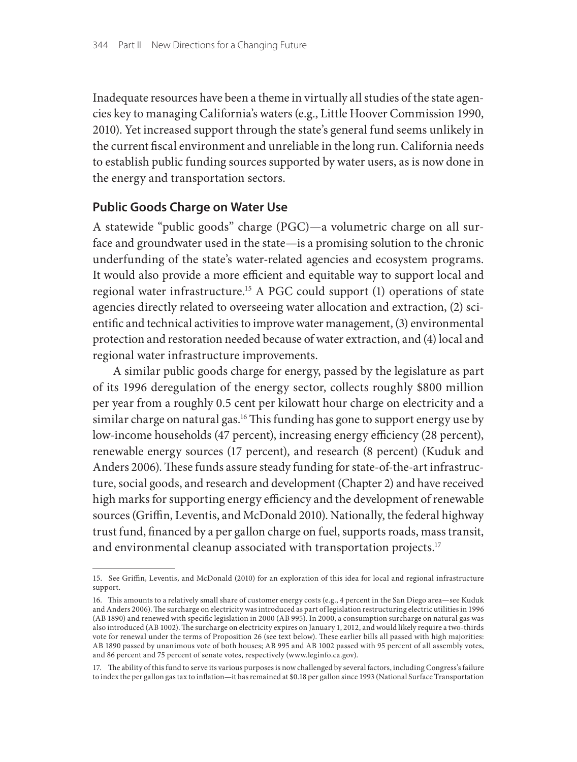Inadequate resources have been a theme in virtually all studies of the state agencies key to managing California's waters (e.g., Little Hoover Commission 1990, 2010). Yet increased support through the state's general fund seems unlikely in the current fiscal environment and unreliable in the long run. California needs to establish public funding sources supported by water users, as is now done in the energy and transportation sectors.

## **Public Goods Charge on Water Use**

A statewide "public goods" charge (PGC)—a volumetric charge on all surface and groundwater used in the state—is a promising solution to the chronic underfunding of the state's water-related agencies and ecosystem programs. It would also provide a more efficient and equitable way to support local and regional water infrastructure.15 A PGC could support (1) operations of state agencies directly related to overseeing water allocation and extraction, (2) scientific and technical activities to improve water management, (3) environmental protection and restoration needed because of water extraction, and (4) local and regional water infrastructure improvements.

 A similar public goods charge for energy, passed by the legislature as part of its 1996 deregulation of the energy sector, collects roughly \$800 million per year from a roughly 0.5 cent per kilowatt hour charge on electricity and a similar charge on natural gas.<sup>16</sup> This funding has gone to support energy use by low-income households (47 percent), increasing energy efficiency (28 percent), renewable energy sources (17 percent), and research (8 percent) (Kuduk and Anders 2006). These funds assure steady funding for state-of-the-art infrastructure, social goods, and research and development (Chapter 2) and have received high marks for supporting energy efficiency and the development of renewable sources (Griffin, Leventis, and McDonald 2010). Nationally, the federal highway trust fund, financed by a per gallon charge on fuel, supports roads, mass transit, and environmental cleanup associated with transportation projects.<sup>17</sup>

<sup>15.</sup> See Griffin, Leventis, and McDonald (2010) for an exploration of this idea for local and regional infrastructure support.

<sup>16.</sup> This amounts to a relatively small share of customer energy costs (e.g., 4 percent in the San Diego area—see Kuduk<br>and Anders 2006). The surcharge on electricity was introduced as part of legislation restructuring el (AB 1890) and renewed with specific legislation in 2000 (AB 995). In 2000, a consumption surcharge on natural gas was also introduced (AB 1002). The surcharge on electricity expires on January 1, 2012, and would likely require a two-thirds vote for renewal under the terms of Proposition 26 (see text below). These earlier bills all passed with high majorities: AB 1890 passed by unanimous vote of both houses; AB 995 and AB 1002 passed with 95 percent of all assembly votes, and 86 percent and 75 percent of senate votes, respectively (www.leginfo.ca.gov).

<sup>17.</sup> The ability of this fund to serve its various purposes is now challenged by several factors, including Congress's failure to index the per gallon gas tax to inflation—it has remained at \$0.18 per gallon since 1993 (National Surface Transportation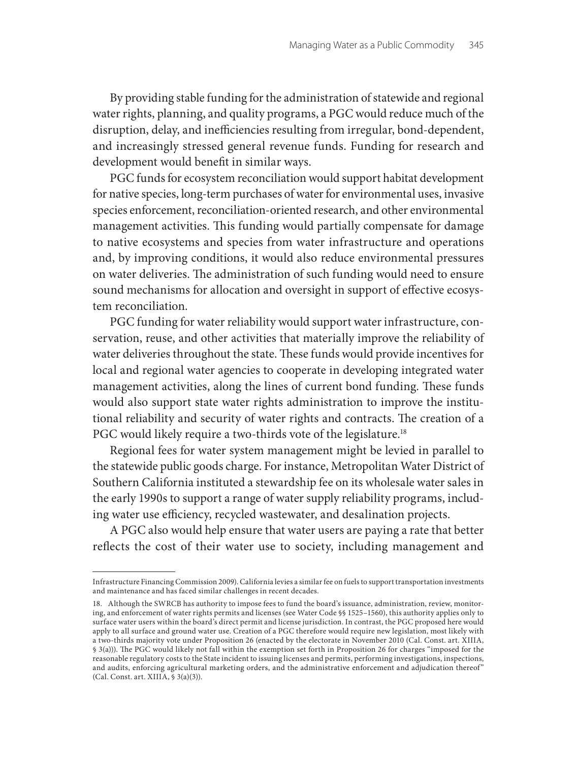By providing stable funding for the administration of statewide and regional water rights, planning, and quality programs, a PGC would reduce much of the disruption, delay, and inefficiencies resulting from irregular, bond-dependent, and increasingly stressed general revenue funds. Funding for research and development would benefit in similar ways.

PGC funds for ecosystem reconciliation would support habitat development for native species, long-term purchases of water for environmental uses, invasive species enforcement, reconciliation-oriented research, and other environmental management activities. This funding would partially compensate for damage to native ecosystems and species from water infrastructure and operations and, by improving conditions, it would also reduce environmental pressures on water deliveries. The administration of such funding would need to ensure sound mechanisms for allocation and oversight in support of effective ecosystem reconciliation.

PGC funding for water reliability would support water infrastructure, conservation, reuse, and other activities that materially improve the reliability of water deliveries throughout the state. These funds would provide incentives for local and regional water agencies to cooperate in developing integrated water management activities, along the lines of current bond funding. These funds would also support state water rights administration to improve the institutional reliability and security of water rights and contracts. The creation of a PGC would likely require a two-thirds vote of the legislature.<sup>18</sup>

Regional fees for water system management might be levied in parallel to the statewide public goods charge. For instance, Metropolitan Water District of Southern California instituted a stewardship fee on its wholesale water sales in the early 1990s to support a range of water supply reliability programs, including water use efficiency, recycled wastewater, and desalination projects.

A PGC also would help ensure that water users are paying a rate that better reflects the cost of their water use to society, including management and

Infrastructure Financing Commission 2009). California levies a similar fee on fuels to support transportation investments and maintenance and has faced similar challenges in recent decades.

<sup>18.</sup> Although the SWRCB has authority to impose fees to fund the board's issuance, administration, review, monitoring, and enforcement of water rights permits and licenses (see Water Code §§ 1525–1560), this authority applies only to surface water users within the board's direct permit and license jurisdiction. In contrast, the PGC proposed here would apply to all surface and ground water use. Creation of a PGC therefore would require new legislation, most likely with a two-thirds majority vote under Proposition 26 (enacted by the electorate in November 2010 (Cal. Const. art. XIIIA, § 3(a))). The PGC would likely not fall within the exemption set forth in Proposition 26 for charges "imposed for the reasonable regulatory costs to the State incident to issuing licenses and permits, performing investigations, inspections, and audits, enforcing agricultural marketing orders, and the administrative enforcement and adjudication thereof" (Cal. Const. art. XIIIA, § 3(a)(3)).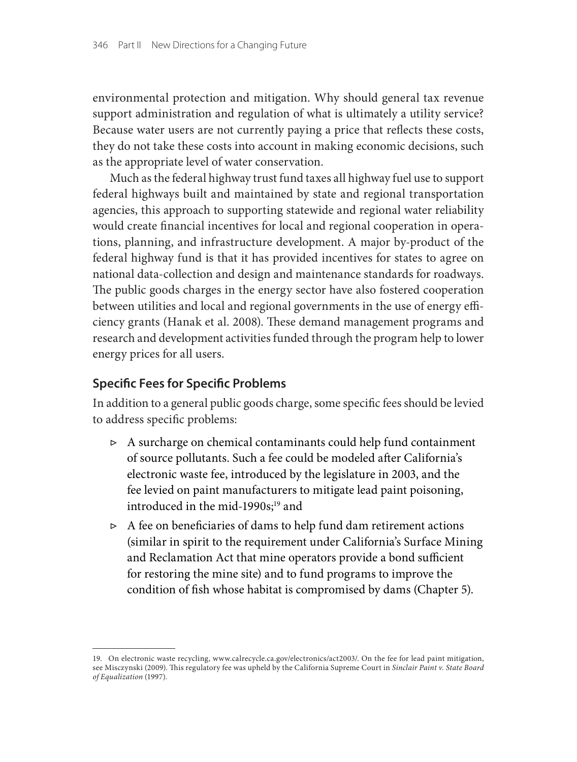environmental protection and mitigation. Why should general tax revenue support administration and regulation of what is ultimately a utility service? Because water users are not currently paying a price that reflects these costs, they do not take these costs into account in making economic decisions, such as the appropriate level of water conservation.

Much as the federal highway trust fund taxes all highway fuel use to support federal highways built and maintained by state and regional transportation agencies, this approach to supporting statewide and regional water reliability would create financial incentives for local and regional cooperation in operations, planning, and infrastructure development. A major by-product of the federal highway fund is that it has provided incentives for states to agree on national data-collection and design and maintenance standards for roadways. The public goods charges in the energy sector have also fostered cooperation between utilities and local and regional governments in the use of energy efficiency grants (Hanak et al. 2008). These demand management programs and research and development activities funded through the program help to lower energy prices for all users.

## **Specific Fees for Specific Problems**

In addition to a general public goods charge, some specific fees should be levied to address specific problems:

- ▷ A surcharge on chemical contaminants could help fund containment of source pollutants. Such a fee could be modeled after California's electronic waste fee, introduced by the legislature in 2003, and the fee levied on paint manufacturers to mitigate lead paint poisoning, introduced in the mid-1990s;<sup>19</sup> and
- $\triangleright$  A fee on beneficiaries of dams to help fund dam retirement actions (similar in spirit to the requirement under California's Surface Mining and Reclamation Act that mine operators provide a bond sufficient for restoring the mine site) and to fund programs to improve the condition of fish whose habitat is compromised by dams (Chapter 5).

<sup>19.</sup> On electronic waste recycling, www.calrecycle.ca.gov/electronics/act2003/. On the fee for lead paint mitigation, see Misczynski (2009). This regulatory fee was upheld by the California Supreme Court in *Sinclair Paint v. State Board of Equalization* (1997).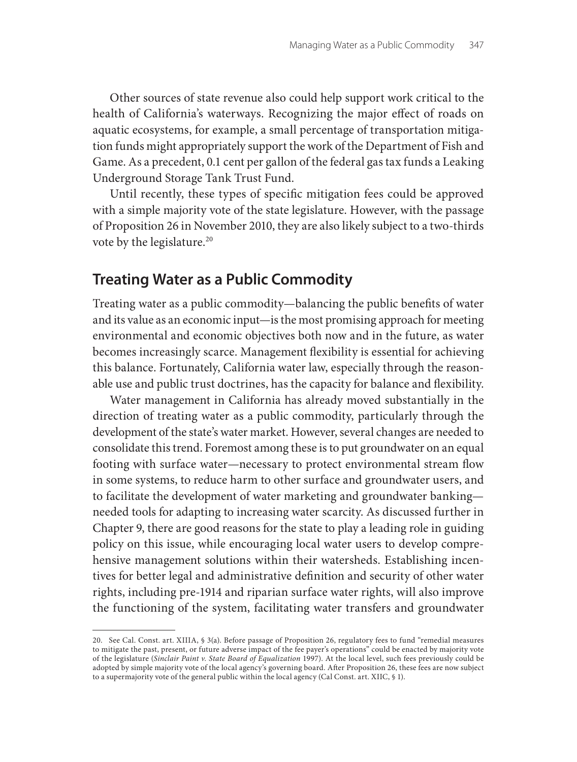Other sources of state revenue also could help support work critical to the health of California's waterways. Recognizing the major effect of roads on aquatic ecosystems, for example, a small percentage of transportation mitigation funds might appropriately support the work of the Department of Fish and Game. As a precedent, 0.1 cent per gallon of the federal gas tax funds a Leaking Underground Storage Tank Trust Fund.

Until recently, these types of specific mitigation fees could be approved with a simple majority vote of the state legislature. However, with the passage of Proposition 26 in November 2010, they are also likely subject to a two-thirds vote by the legislature.<sup>20</sup>

## **Treating Water as a Public Commodity**

Treating water as a public commodity—balancing the public benefits of water and its value as an economic input—is the most promising approach for meeting environmental and economic objectives both now and in the future, as water becomes increasingly scarce. Management flexibility is essential for achieving this balance. Fortunately, California water law, especially through the reasonable use and public trust doctrines, has the capacity for balance and flexibility.

Water management in California has already moved substantially in the direction of treating water as a public commodity, particularly through the development of the state's water market. However, several changes are needed to consolidate this trend. Foremost among these is to put groundwater on an equal footing with surface water—necessary to protect environmental stream flow in some systems, to reduce harm to other surface and groundwater users, and to facilitate the development of water marketing and groundwater banking needed tools for adapting to increasing water scarcity. As discussed further in Chapter 9, there are good reasons for the state to play a leading role in guiding policy on this issue, while encouraging local water users to develop comprehensive management solutions within their watersheds. Establishing incentives for better legal and administrative definition and security of other water rights, including pre-1914 and riparian surface water rights, will also improve the functioning of the system, facilitating water transfers and groundwater

<sup>20.</sup> See Cal. Const. art. XIIIA, § 3(a). Before passage of Proposition 26, regulatory fees to fund "remedial measures to mitigate the past, present, or future adverse impact of the fee payer's operations" could be enacted by majority vote of the legislature (*Sinclair Paint v. State Board of Equalization* 1997). At the local level, such fees previously could be adopted by simple majority vote of the local agency's governing board. After Proposition 26, these fees are now subject to a supermajority vote of the general public within the local agency (Cal Const. art. XIIC, § 1).